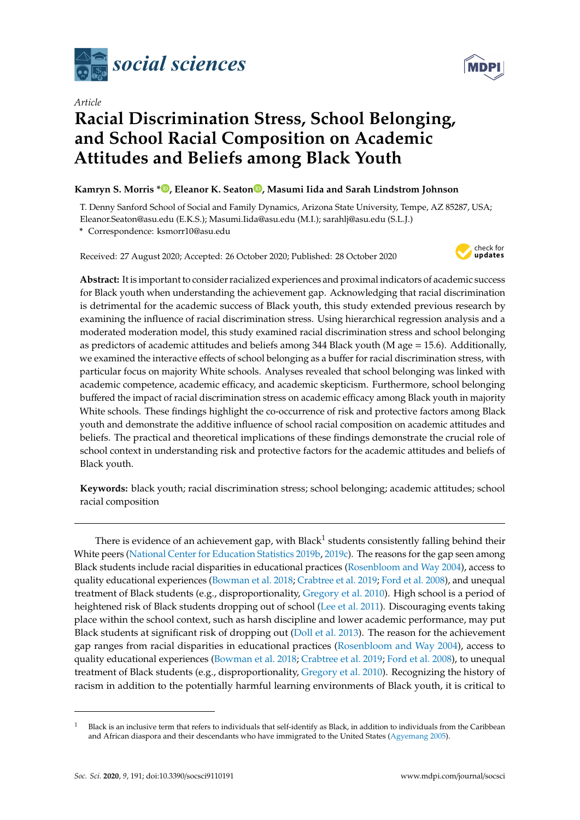



## **Kamryn S. Morris [\\*](https://orcid.org/0000-0002-8921-3410) , Eleanor K. Seato[n](https://orcid.org/0000-0003-3285-4767) , Masumi Iida and Sarah Lindstrom Johnson**

T. Denny Sanford School of Social and Family Dynamics, Arizona State University, Tempe, AZ 85287, USA;

Eleanor.Seaton@asu.edu (E.K.S.); Masumi.Iida@asu.edu (M.I.); sarahlj@asu.edu (S.L.J.)

**\*** Correspondence: ksmorr10@asu.edu

Received: 27 August 2020; Accepted: 26 October 2020; Published: 28 October 2020



**Abstract:** It is important to consider racialized experiences and proximal indicators of academic success for Black youth when understanding the achievement gap. Acknowledging that racial discrimination is detrimental for the academic success of Black youth, this study extended previous research by examining the influence of racial discrimination stress. Using hierarchical regression analysis and a moderated moderation model, this study examined racial discrimination stress and school belonging as predictors of academic attitudes and beliefs among 344 Black youth (M age = 15.6). Additionally, we examined the interactive effects of school belonging as a buffer for racial discrimination stress, with particular focus on majority White schools. Analyses revealed that school belonging was linked with academic competence, academic efficacy, and academic skepticism. Furthermore, school belonging buffered the impact of racial discrimination stress on academic efficacy among Black youth in majority White schools. These findings highlight the co-occurrence of risk and protective factors among Black youth and demonstrate the additive influence of school racial composition on academic attitudes and beliefs. The practical and theoretical implications of these findings demonstrate the crucial role of school context in understanding risk and protective factors for the academic attitudes and beliefs of Black youth.

**Keywords:** black youth; racial discrimination stress; school belonging; academic attitudes; school racial composition

There is evidence of an achievement gap, with Black<sup>1</sup> students consistently falling behind their White peers [\(National Center for Education Statistics](#page-17-0) [2019b,](#page-17-0) [2019c\)](#page-17-1). The reasons for the gap seen among Black students include racial disparities in educational practices [\(Rosenbloom and Way](#page-17-2) [2004\)](#page-17-2), access to quality educational experiences [\(Bowman et al.](#page-15-0) [2018;](#page-15-0) [Crabtree et al.](#page-15-1) [2019;](#page-15-1) [Ford et al.](#page-16-0) [2008\)](#page-16-0), and unequal treatment of Black students (e.g., disproportionality, [Gregory et al.](#page-16-1) [2010\)](#page-16-1). High school is a period of heightened risk of Black students dropping out of school [\(Lee et al.](#page-16-2) [2011\)](#page-16-2). Discouraging events taking place within the school context, such as harsh discipline and lower academic performance, may put Black students at significant risk of dropping out [\(Doll et al.](#page-15-2) [2013\)](#page-15-2). The reason for the achievement gap ranges from racial disparities in educational practices [\(Rosenbloom and Way](#page-17-2) [2004\)](#page-17-2), access to quality educational experiences [\(Bowman et al.](#page-15-0) [2018;](#page-15-0) [Crabtree et al.](#page-15-1) [2019;](#page-15-1) [Ford et al.](#page-16-0) [2008\)](#page-16-0), to unequal treatment of Black students (e.g., disproportionality, [Gregory et al.](#page-16-1) [2010\)](#page-16-1). Recognizing the history of racism in addition to the potentially harmful learning environments of Black youth, it is critical to



<sup>&</sup>lt;sup>1</sup> Black is an inclusive term that refers to individuals that self-identify as Black, in addition to individuals from the Caribbean and African diaspora and their descendants who have immigrated to the United States [\(Agyemang](#page-14-0) [2005\)](#page-14-0).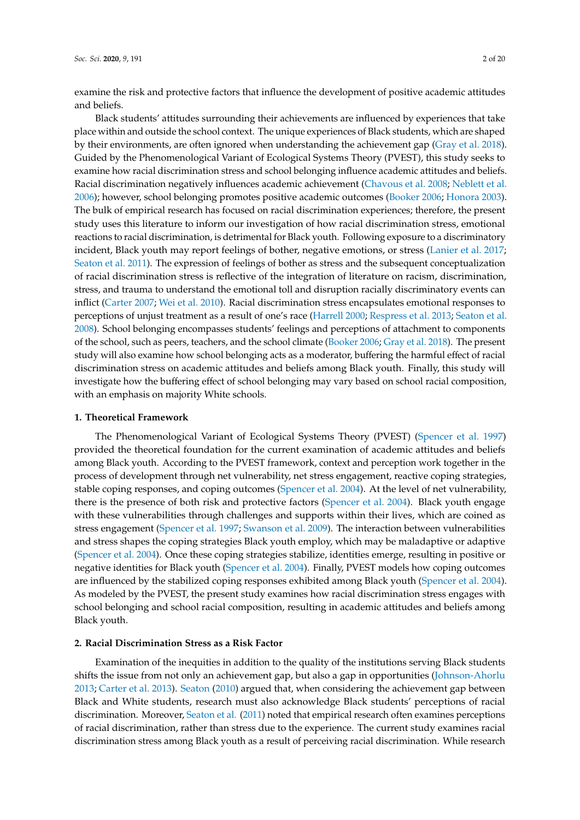examine the risk and protective factors that influence the development of positive academic attitudes and beliefs.

Black students' attitudes surrounding their achievements are influenced by experiences that take place within and outside the school context. The unique experiences of Black students, which are shaped by their environments, are often ignored when understanding the achievement gap [\(Gray et al.](#page-16-3) [2018\)](#page-16-3). Guided by the Phenomenological Variant of Ecological Systems Theory (PVEST), this study seeks to examine how racial discrimination stress and school belonging influence academic attitudes and beliefs. Racial discrimination negatively influences academic achievement [\(Chavous et al.](#page-15-3) [2008;](#page-15-3) [Neblett et al.](#page-17-3) [2006\)](#page-17-3); however, school belonging promotes positive academic outcomes [\(Booker](#page-14-1) [2006;](#page-14-1) [Honora](#page-16-4) [2003\)](#page-16-4). The bulk of empirical research has focused on racial discrimination experiences; therefore, the present study uses this literature to inform our investigation of how racial discrimination stress, emotional reactions to racial discrimination, is detrimental for Black youth. Following exposure to a discriminatory incident, Black youth may report feelings of bother, negative emotions, or stress [\(Lanier et al.](#page-16-5) [2017;](#page-16-5) [Seaton et al.](#page-18-0) [2011\)](#page-18-0). The expression of feelings of bother as stress and the subsequent conceptualization of racial discrimination stress is reflective of the integration of literature on racism, discrimination, stress, and trauma to understand the emotional toll and disruption racially discriminatory events can inflict [\(Carter](#page-15-4) [2007;](#page-15-4) [Wei et al.](#page-19-0) [2010\)](#page-19-0). Racial discrimination stress encapsulates emotional responses to perceptions of unjust treatment as a result of one's race [\(Harrell](#page-16-6) [2000;](#page-16-6) [Respress et al.](#page-17-4) [2013;](#page-17-4) [Seaton et al.](#page-18-1) [2008\)](#page-18-1). School belonging encompasses students' feelings and perceptions of attachment to components of the school, such as peers, teachers, and the school climate [\(Booker](#page-14-1) [2006;](#page-14-1) [Gray et al.](#page-16-3) [2018\)](#page-16-3). The present study will also examine how school belonging acts as a moderator, buffering the harmful effect of racial discrimination stress on academic attitudes and beliefs among Black youth. Finally, this study will investigate how the buffering effect of school belonging may vary based on school racial composition, with an emphasis on majority White schools.

#### **1. Theoretical Framework**

The Phenomenological Variant of Ecological Systems Theory (PVEST) [\(Spencer et al.](#page-18-2) [1997\)](#page-18-2) provided the theoretical foundation for the current examination of academic attitudes and beliefs among Black youth. According to the PVEST framework, context and perception work together in the process of development through net vulnerability, net stress engagement, reactive coping strategies, stable coping responses, and coping outcomes [\(Spencer et al.](#page-18-3) [2004\)](#page-18-3). At the level of net vulnerability, there is the presence of both risk and protective factors [\(Spencer et al.](#page-18-3) [2004\)](#page-18-3). Black youth engage with these vulnerabilities through challenges and supports within their lives, which are coined as stress engagement [\(Spencer et al.](#page-18-2) [1997;](#page-18-2) [Swanson et al.](#page-18-4) [2009\)](#page-18-4). The interaction between vulnerabilities and stress shapes the coping strategies Black youth employ, which may be maladaptive or adaptive [\(Spencer et al.](#page-18-3) [2004\)](#page-18-3). Once these coping strategies stabilize, identities emerge, resulting in positive or negative identities for Black youth [\(Spencer et al.](#page-18-3) [2004\)](#page-18-3). Finally, PVEST models how coping outcomes are influenced by the stabilized coping responses exhibited among Black youth [\(Spencer et al.](#page-18-3) [2004\)](#page-18-3). As modeled by the PVEST, the present study examines how racial discrimination stress engages with school belonging and school racial composition, resulting in academic attitudes and beliefs among Black youth.

## **2. Racial Discrimination Stress as a Risk Factor**

Examination of the inequities in addition to the quality of the institutions serving Black students shifts the issue from not only an achievement gap, but also a gap in opportunities [\(Johnson-Ahorlu](#page-16-7) [2013;](#page-16-7) [Carter et al.](#page-15-5) [2013\)](#page-15-5). [Seaton](#page-18-5) [\(2010\)](#page-18-5) argued that, when considering the achievement gap between Black and White students, research must also acknowledge Black students' perceptions of racial discrimination. Moreover, [Seaton et al.](#page-18-0) [\(2011\)](#page-18-0) noted that empirical research often examines perceptions of racial discrimination, rather than stress due to the experience. The current study examines racial discrimination stress among Black youth as a result of perceiving racial discrimination. While research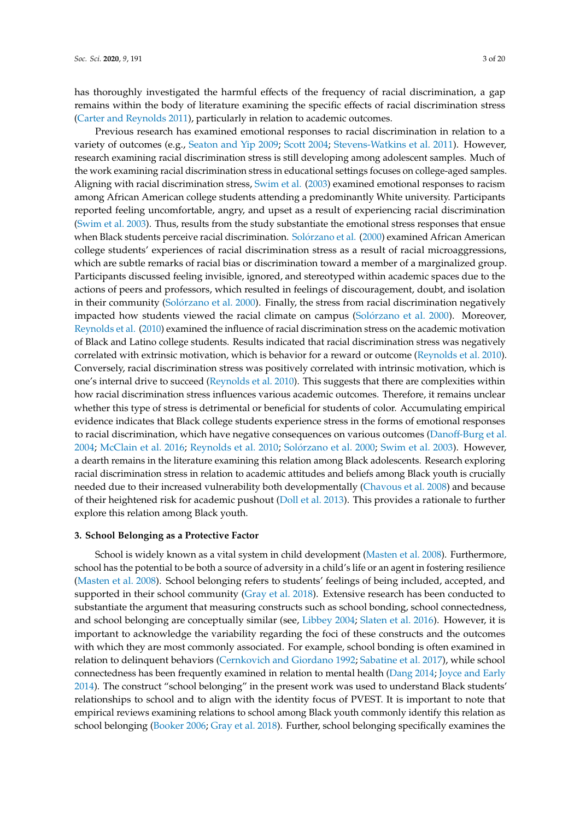has thoroughly investigated the harmful effects of the frequency of racial discrimination, a gap remains within the body of literature examining the specific effects of racial discrimination stress [\(Carter and Reynolds](#page-15-6) [2011\)](#page-15-6), particularly in relation to academic outcomes.

Previous research has examined emotional responses to racial discrimination in relation to a variety of outcomes (e.g., [Seaton and Yip](#page-18-6) [2009;](#page-18-6) [Scott](#page-18-7) [2004;](#page-18-7) [Stevens-Watkins et al.](#page-18-8) [2011\)](#page-18-8). However, research examining racial discrimination stress is still developing among adolescent samples. Much of the work examining racial discrimination stress in educational settings focuses on college-aged samples. Aligning with racial discrimination stress, [Swim et al.](#page-18-9) [\(2003\)](#page-18-9) examined emotional responses to racism among African American college students attending a predominantly White university. Participants reported feeling uncomfortable, angry, and upset as a result of experiencing racial discrimination [\(Swim et al.](#page-18-9) [2003\)](#page-18-9). Thus, results from the study substantiate the emotional stress responses that ensue when Black students perceive racial discrimination. Soló[rzano et al.](#page-18-10) [\(2000\)](#page-18-10) examined African American college students' experiences of racial discrimination stress as a result of racial microaggressions, which are subtle remarks of racial bias or discrimination toward a member of a marginalized group. Participants discussed feeling invisible, ignored, and stereotyped within academic spaces due to the actions of peers and professors, which resulted in feelings of discouragement, doubt, and isolation in their community (Soló[rzano et al.](#page-18-10) [2000\)](#page-18-10). Finally, the stress from racial discrimination negatively impacted how students viewed the racial climate on campus (Soló[rzano et al.](#page-18-10) [2000\)](#page-18-10). Moreover, [Reynolds et al.](#page-17-5) [\(2010\)](#page-17-5) examined the influence of racial discrimination stress on the academic motivation of Black and Latino college students. Results indicated that racial discrimination stress was negatively correlated with extrinsic motivation, which is behavior for a reward or outcome [\(Reynolds et al.](#page-17-5) [2010\)](#page-17-5). Conversely, racial discrimination stress was positively correlated with intrinsic motivation, which is one's internal drive to succeed [\(Reynolds et al.](#page-17-5) [2010\)](#page-17-5). This suggests that there are complexities within how racial discrimination stress influences various academic outcomes. Therefore, it remains unclear whether this type of stress is detrimental or beneficial for students of color. Accumulating empirical evidence indicates that Black college students experience stress in the forms of emotional responses to racial discrimination, which have negative consequences on various outcomes (Danoff[-Burg et al.](#page-15-7) [2004;](#page-15-7) [McClain et al.](#page-17-6) [2016;](#page-17-6) [Reynolds et al.](#page-17-5) [2010;](#page-17-5) Soló[rzano et al.](#page-18-10) [2000;](#page-18-10) [Swim et al.](#page-18-9) [2003\)](#page-18-9). However, a dearth remains in the literature examining this relation among Black adolescents. Research exploring racial discrimination stress in relation to academic attitudes and beliefs among Black youth is crucially needed due to their increased vulnerability both developmentally [\(Chavous et al.](#page-15-3) [2008\)](#page-15-3) and because of their heightened risk for academic pushout [\(Doll et al.](#page-15-2) [2013\)](#page-15-2). This provides a rationale to further explore this relation among Black youth.

#### **3. School Belonging as a Protective Factor**

School is widely known as a vital system in child development [\(Masten et al.](#page-17-7) [2008\)](#page-17-7). Furthermore, school has the potential to be both a source of adversity in a child's life or an agent in fostering resilience [\(Masten et al.](#page-17-7) [2008\)](#page-17-7). School belonging refers to students' feelings of being included, accepted, and supported in their school community [\(Gray et al.](#page-16-3) [2018\)](#page-16-3). Extensive research has been conducted to substantiate the argument that measuring constructs such as school bonding, school connectedness, and school belonging are conceptually similar (see, [Libbey](#page-16-8) [2004;](#page-16-8) [Slaten et al.](#page-18-11) [2016\)](#page-18-11). However, it is important to acknowledge the variability regarding the foci of these constructs and the outcomes with which they are most commonly associated. For example, school bonding is often examined in relation to delinquent behaviors [\(Cernkovich and Giordano](#page-15-8) [1992;](#page-15-8) [Sabatine et al.](#page-17-8) [2017\)](#page-17-8), while school connectedness has been frequently examined in relation to mental health [\(Dang](#page-15-9) [2014;](#page-15-9) [Joyce and Early](#page-16-9) [2014\)](#page-16-9). The construct "school belonging" in the present work was used to understand Black students' relationships to school and to align with the identity focus of PVEST. It is important to note that empirical reviews examining relations to school among Black youth commonly identify this relation as school belonging [\(Booker](#page-14-1) [2006;](#page-14-1) [Gray et al.](#page-16-3) [2018\)](#page-16-3). Further, school belonging specifically examines the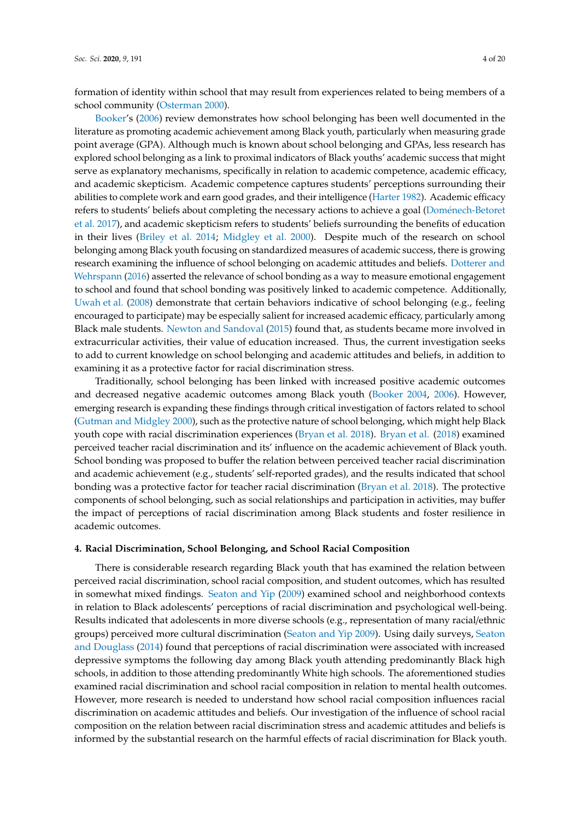formation of identity within school that may result from experiences related to being members of a school community [\(Osterman](#page-17-9) [2000\)](#page-17-9).

[Booker'](#page-14-1)s [\(2006\)](#page-14-1) review demonstrates how school belonging has been well documented in the literature as promoting academic achievement among Black youth, particularly when measuring grade point average (GPA). Although much is known about school belonging and GPAs, less research has explored school belonging as a link to proximal indicators of Black youths' academic success that might serve as explanatory mechanisms, specifically in relation to academic competence, academic efficacy, and academic skepticism. Academic competence captures students' perceptions surrounding their abilities to complete work and earn good grades, and their intelligence [\(Harter](#page-16-10) [1982\)](#page-16-10). Academic efficacy refers to students' beliefs about completing the necessary actions to achieve a goal (Domé[nech-Betoret](#page-16-11) [et al.](#page-16-11) [2017\)](#page-16-11), and academic skepticism refers to students' beliefs surrounding the benefits of education in their lives [\(Briley et al.](#page-15-10) [2014;](#page-15-10) [Midgley et al.](#page-17-10) [2000\)](#page-17-10). Despite much of the research on school belonging among Black youth focusing on standardized measures of academic success, there is growing research examining the influence of school belonging on academic attitudes and beliefs. [Dotterer and](#page-16-12) [Wehrspann](#page-16-12) [\(2016\)](#page-16-12) asserted the relevance of school bonding as a way to measure emotional engagement to school and found that school bonding was positively linked to academic competence. Additionally, [Uwah et al.](#page-19-1) [\(2008\)](#page-19-1) demonstrate that certain behaviors indicative of school belonging (e.g., feeling encouraged to participate) may be especially salient for increased academic efficacy, particularly among Black male students. [Newton and Sandoval](#page-17-11) [\(2015\)](#page-17-11) found that, as students became more involved in extracurricular activities, their value of education increased. Thus, the current investigation seeks to add to current knowledge on school belonging and academic attitudes and beliefs, in addition to examining it as a protective factor for racial discrimination stress.

Traditionally, school belonging has been linked with increased positive academic outcomes and decreased negative academic outcomes among Black youth [\(Booker](#page-14-2) [2004,](#page-14-2) [2006\)](#page-14-1). However, emerging research is expanding these findings through critical investigation of factors related to school [\(Gutman and Midgley](#page-16-13) [2000\)](#page-16-13), such as the protective nature of school belonging, which might help Black youth cope with racial discrimination experiences [\(Bryan et al.](#page-15-11) [2018\)](#page-15-11). [Bryan et al.](#page-15-11) [\(2018\)](#page-15-11) examined perceived teacher racial discrimination and its' influence on the academic achievement of Black youth. School bonding was proposed to buffer the relation between perceived teacher racial discrimination and academic achievement (e.g., students' self-reported grades), and the results indicated that school bonding was a protective factor for teacher racial discrimination [\(Bryan et al.](#page-15-11) [2018\)](#page-15-11). The protective components of school belonging, such as social relationships and participation in activities, may buffer the impact of perceptions of racial discrimination among Black students and foster resilience in academic outcomes.

## **4. Racial Discrimination, School Belonging, and School Racial Composition**

There is considerable research regarding Black youth that has examined the relation between perceived racial discrimination, school racial composition, and student outcomes, which has resulted in somewhat mixed findings. [Seaton and Yip](#page-18-6) [\(2009\)](#page-18-6) examined school and neighborhood contexts in relation to Black adolescents' perceptions of racial discrimination and psychological well-being. Results indicated that adolescents in more diverse schools (e.g., representation of many racial/ethnic groups) perceived more cultural discrimination [\(Seaton and Yip](#page-18-6) [2009\)](#page-18-6). Using daily surveys, [Seaton](#page-18-12) [and Douglass](#page-18-12) [\(2014\)](#page-18-12) found that perceptions of racial discrimination were associated with increased depressive symptoms the following day among Black youth attending predominantly Black high schools, in addition to those attending predominantly White high schools. The aforementioned studies examined racial discrimination and school racial composition in relation to mental health outcomes. However, more research is needed to understand how school racial composition influences racial discrimination on academic attitudes and beliefs. Our investigation of the influence of school racial composition on the relation between racial discrimination stress and academic attitudes and beliefs is informed by the substantial research on the harmful effects of racial discrimination for Black youth.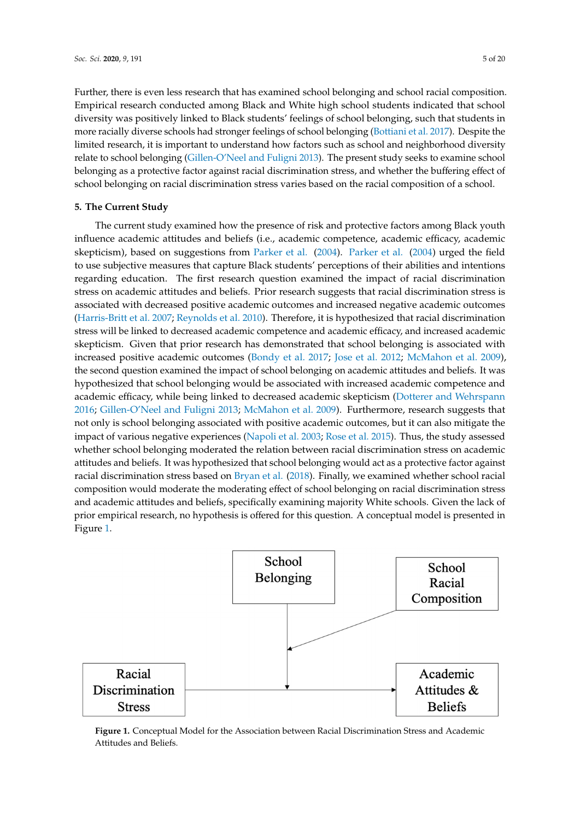Further, there is even less research that has examined school belonging and school racial composition. Empirical research conducted among Black and White high school students indicated that school diversity was positively linked to Black students' feelings of school belonging, such that students in more racially diverse schools had stronger feelings of school belonging [\(Bottiani et al.](#page-15-12) [2017\)](#page-15-12). Despite the limited research, it is important to understand how factors such as school and neighborhood diversity relate to school belonging [\(Gillen-O'Neel and Fuligni](#page-16-14) [2013\)](#page-16-14). The present study seeks to examine school belonging as a protective factor against racial discrimination stress, and whether the buffering effect of school belonging on racial discrimination stress varies based on the racial composition of a school. stress varies based on the racial composition of a school.

## **5. The Current Study**

The current study examined how the presence of risk and protective factors among Black youth **5. The Current Study**  influence academic attitudes and beliefs (i.e., academic competence, academic efficacy, academic skepticism), based on suggestions from [Parker et al.](#page-17-12) [\(2004\)](#page-17-12). Parker et al. (2004) urged the field to use subjective measures that capture Black students' perceptions of their abilities and intentions regarding education. The first research question examined the impact of racial discrimination stress on academic attitudes and beliefs. Prior research suggests that racial discrimination stress is associated with decreased positive academic outcomes and increased negative academic outcomes (Harris-Britt et al. 2007; [Reynolds et al.](#page-17-5) [2010\)](#page-17-5). Therefore, it is hypothesized that racial discrimination stress will be linked to decreased academic competence and academic efficacy, and increased academic skepticism. Given that prior research has demonstrated that school belonging is associated with increased positive academic outcomes [\(Bondy et al.](#page-14-3) [2017;](#page-14-3) [Jose et al.](#page-16-16) [2012;](#page-16-16) [McMahon et al.](#page-17-13) [2009\)](#page-17-13), the second question examined the impact of school belonging on academic attitudes and beliefs. It was hypothesized that school belonging would be associated with increased academic competence and academic efficacy, while being linked to decreased academic skepticism [\(Dotterer and Wehrspann](#page-16-12) [2016;](#page-16-12) [Gillen-O'Neel and Fuligni](#page-16-14) [2013;](#page-16-14) [McMahon et al.](#page-17-13) [2009\)](#page-17-13). Furthermore, research suggests that not only is school belonging associated with positive academic outcomes, but it can also mitigate the impact of various negative experiences [\(Napoli et al.](#page-17-14) [2003;](#page-17-14) [Rose et al.](#page-17-15) [2015\)](#page-17-15). Thus, the study assessed whether school belonging moderated the relation between racial discrimination stress on academic attitudes and beliefs. It was hypothesized that school belonging would act as a protective factor against racial discrimination stress based on [Bryan et al.](#page-15-11) [\(2018\)](#page-15-11). Finally, we examined whether school racial composition would moderate the moderating effect of school belonging on racial discrimination stress and academic attitudes and beliefs, specifically examining majority White schools. Given the lack of prior empirical research, no hypothesis is offered for this question. A conceptual model is presented in Figure [1.](#page-4-0)  $s$  figure 1.

<span id="page-4-0"></span>

**Figure 1.** Conceptual Model for the Association between Racial Discrimination Stress and Academic **Figure 1.** Conceptual Model for the Association between Racial Discrimination Stress and Academic Attitudes and Beliefs. Attitudes and Beliefs.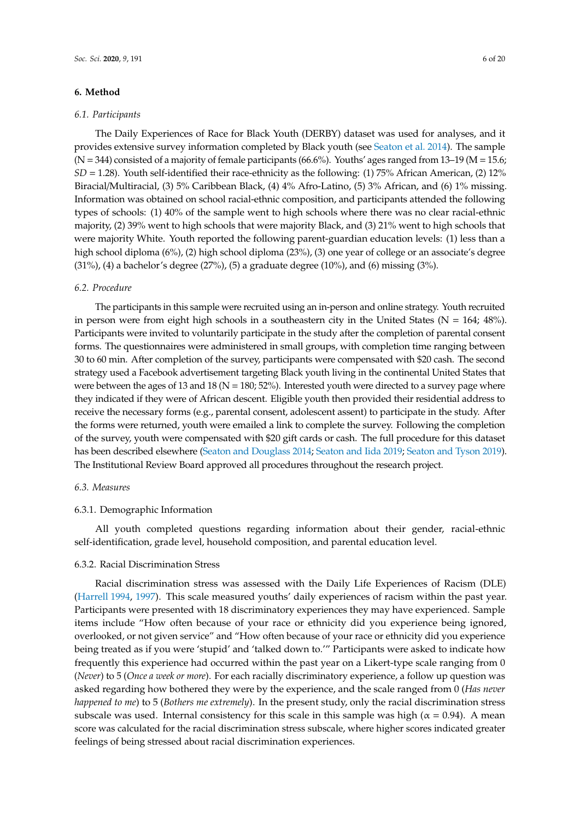#### **6. Method**

#### *6.1. Participants*

The Daily Experiences of Race for Black Youth (DERBY) dataset was used for analyses, and it provides extensive survey information completed by Black youth (see [Seaton et al.](#page-18-13) [2014\)](#page-18-13). The sample  $(N = 344)$  consisted of a majority of female participants (66.6%). Youths' ages ranged from 13–19 (M = 15.6;  $SD = 1.28$ ). Youth self-identified their race-ethnicity as the following: (1) 75% African American, (2) 12% Biracial/Multiracial, (3) 5% Caribbean Black, (4) 4% Afro-Latino, (5) 3% African, and (6) 1% missing. Information was obtained on school racial-ethnic composition, and participants attended the following types of schools: (1) 40% of the sample went to high schools where there was no clear racial-ethnic majority, (2) 39% went to high schools that were majority Black, and (3) 21% went to high schools that were majority White. Youth reported the following parent-guardian education levels: (1) less than a high school diploma (6%), (2) high school diploma (23%), (3) one year of college or an associate's degree  $(31\%)$ ,  $(4)$  a bachelor's degree  $(27\%)$ ,  $(5)$  a graduate degree  $(10\%)$ , and  $(6)$  missing  $(3\%)$ .

## *6.2. Procedure*

The participants in this sample were recruited using an in-person and online strategy. Youth recruited in person were from eight high schools in a southeastern city in the United States ( $N = 164$ ; 48%). Participants were invited to voluntarily participate in the study after the completion of parental consent forms. The questionnaires were administered in small groups, with completion time ranging between 30 to 60 min. After completion of the survey, participants were compensated with \$20 cash. The second strategy used a Facebook advertisement targeting Black youth living in the continental United States that were between the ages of 13 and 18 ( $N = 180$ ; 52%). Interested youth were directed to a survey page where they indicated if they were of African descent. Eligible youth then provided their residential address to receive the necessary forms (e.g., parental consent, adolescent assent) to participate in the study. After the forms were returned, youth were emailed a link to complete the survey. Following the completion of the survey, youth were compensated with \$20 gift cards or cash. The full procedure for this dataset has been described elsewhere [\(Seaton and Douglass](#page-18-12) [2014;](#page-18-12) [Seaton and Iida](#page-18-14) [2019;](#page-18-14) [Seaton and Tyson](#page-18-15) [2019\)](#page-18-15). The Institutional Review Board approved all procedures throughout the research project.

#### *6.3. Measures*

#### 6.3.1. Demographic Information

All youth completed questions regarding information about their gender, racial-ethnic self-identification, grade level, household composition, and parental education level.

#### 6.3.2. Racial Discrimination Stress

Racial discrimination stress was assessed with the Daily Life Experiences of Racism (DLE) [\(Harrell](#page-16-17) [1994,](#page-16-17) [1997\)](#page-16-18). This scale measured youths' daily experiences of racism within the past year. Participants were presented with 18 discriminatory experiences they may have experienced. Sample items include "How often because of your race or ethnicity did you experience being ignored, overlooked, or not given service" and "How often because of your race or ethnicity did you experience being treated as if you were 'stupid' and 'talked down to.'" Participants were asked to indicate how frequently this experience had occurred within the past year on a Likert-type scale ranging from 0 (*Never*) to 5 (*Once a week or more*). For each racially discriminatory experience, a follow up question was asked regarding how bothered they were by the experience, and the scale ranged from 0 (*Has never happened to me*) to 5 (*Bothers me extremely*). In the present study, only the racial discrimination stress subscale was used. Internal consistency for this scale in this sample was high ( $\alpha$  = 0.94). A mean score was calculated for the racial discrimination stress subscale, where higher scores indicated greater feelings of being stressed about racial discrimination experiences.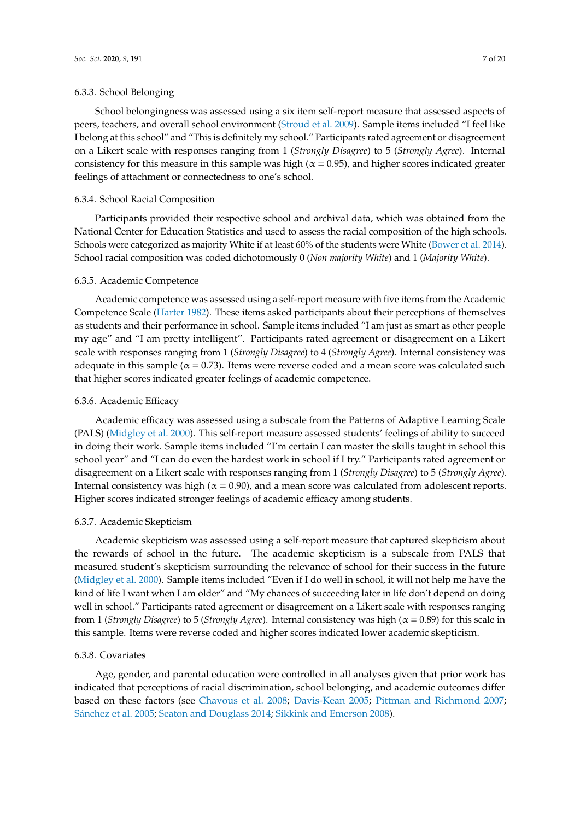## 6.3.3. School Belonging

School belongingness was assessed using a six item self-report measure that assessed aspects of peers, teachers, and overall school environment [\(Stroud et al.](#page-18-16) [2009\)](#page-18-16). Sample items included "I feel like I belong at this school" and "This is definitely my school." Participants rated agreement or disagreement on a Likert scale with responses ranging from 1 (*Strongly Disagree*) to 5 (*Strongly Agree*). Internal consistency for this measure in this sample was high ( $\alpha$  = 0.95), and higher scores indicated greater feelings of attachment or connectedness to one's school.

### 6.3.4. School Racial Composition

Participants provided their respective school and archival data, which was obtained from the National Center for Education Statistics and used to assess the racial composition of the high schools. Schools were categorized as majority White if at least 60% of the students were White [\(Bower et al.](#page-15-13) [2014\)](#page-15-13). School racial composition was coded dichotomously 0 (*Non majority White*) and 1 (*Majority White*).

#### 6.3.5. Academic Competence

Academic competence was assessed using a self-report measure with five items from the Academic Competence Scale [\(Harter](#page-16-10) [1982\)](#page-16-10). These items asked participants about their perceptions of themselves as students and their performance in school. Sample items included "I am just as smart as other people my age" and "I am pretty intelligent". Participants rated agreement or disagreement on a Likert scale with responses ranging from 1 (*Strongly Disagree*) to 4 (*Strongly Agree*). Internal consistency was adequate in this sample ( $\alpha$  = 0.73). Items were reverse coded and a mean score was calculated such that higher scores indicated greater feelings of academic competence.

#### 6.3.6. Academic Efficacy

Academic efficacy was assessed using a subscale from the Patterns of Adaptive Learning Scale (PALS) [\(Midgley et al.](#page-17-10) [2000\)](#page-17-10). This self-report measure assessed students' feelings of ability to succeed in doing their work. Sample items included "I'm certain I can master the skills taught in school this school year" and "I can do even the hardest work in school if I try." Participants rated agreement or disagreement on a Likert scale with responses ranging from 1 (*Strongly Disagree*) to 5 (*Strongly Agree*). Internal consistency was high ( $\alpha = 0.90$ ), and a mean score was calculated from adolescent reports. Higher scores indicated stronger feelings of academic efficacy among students.

#### 6.3.7. Academic Skepticism

Academic skepticism was assessed using a self-report measure that captured skepticism about the rewards of school in the future. The academic skepticism is a subscale from PALS that measured student's skepticism surrounding the relevance of school for their success in the future [\(Midgley et al.](#page-17-10) [2000\)](#page-17-10). Sample items included "Even if I do well in school, it will not help me have the kind of life I want when I am older" and "My chances of succeeding later in life don't depend on doing well in school." Participants rated agreement or disagreement on a Likert scale with responses ranging from 1 (*Strongly Disagree*) to 5 (*Strongly Agree*). Internal consistency was high (α = 0.89) for this scale in this sample. Items were reverse coded and higher scores indicated lower academic skepticism.

## 6.3.8. Covariates

Age, gender, and parental education were controlled in all analyses given that prior work has indicated that perceptions of racial discrimination, school belonging, and academic outcomes differ based on these factors (see [Chavous et al.](#page-15-3) [2008;](#page-15-3) [Davis-Kean](#page-15-14) [2005;](#page-15-14) [Pittman and Richmond](#page-17-16) [2007;](#page-17-16) Sá[nchez et al.](#page-17-17) [2005;](#page-17-17) [Seaton and Douglass](#page-18-12) [2014;](#page-18-12) [Sikkink and Emerson](#page-18-17) [2008\)](#page-18-17).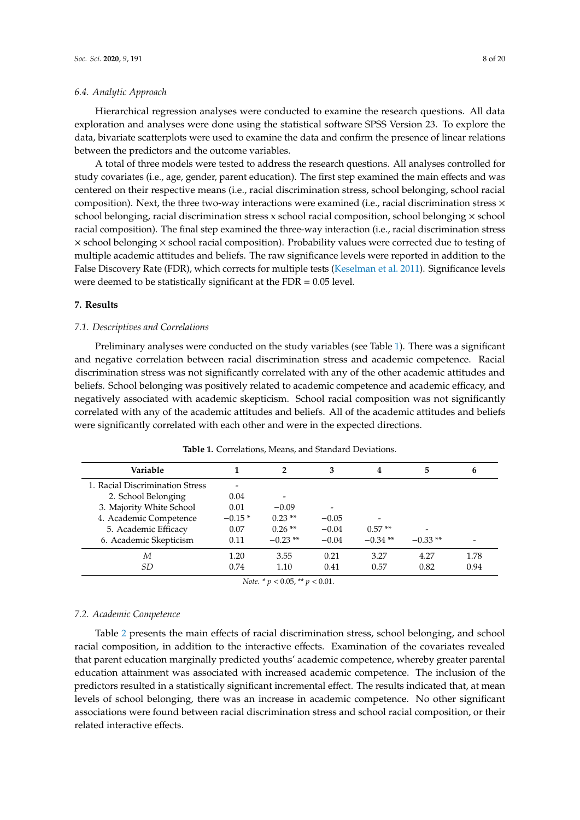#### *6.4. Analytic Approach*

Hierarchical regression analyses were conducted to examine the research questions. All data exploration and analyses were done using the statistical software SPSS Version 23. To explore the data, bivariate scatterplots were used to examine the data and confirm the presence of linear relations between the predictors and the outcome variables.

A total of three models were tested to address the research questions. All analyses controlled for study covariates (i.e., age, gender, parent education). The first step examined the main effects and was centered on their respective means (i.e., racial discrimination stress, school belonging, school racial composition). Next, the three two-way interactions were examined (i.e., racial discrimination stress  $\times$ school belonging, racial discrimination stress x school racial composition, school belonging × school racial composition). The final step examined the three-way interaction (i.e., racial discrimination stress × school belonging × school racial composition). Probability values were corrected due to testing of multiple academic attitudes and beliefs. The raw significance levels were reported in addition to the False Discovery Rate (FDR), which corrects for multiple tests [\(Keselman et al.](#page-16-19) [2011\)](#page-16-19). Significance levels were deemed to be statistically significant at the FDR = 0.05 level.

## **7. Results**

## *7.1. Descriptives and Correlations*

Preliminary analyses were conducted on the study variables (see Table [1\)](#page-7-0). There was a significant and negative correlation between racial discrimination stress and academic competence. Racial discrimination stress was not significantly correlated with any of the other academic attitudes and beliefs. School belonging was positively related to academic competence and academic efficacy, and negatively associated with academic skepticism. School racial composition was not significantly correlated with any of the academic attitudes and beliefs. All of the academic attitudes and beliefs were significantly correlated with each other and were in the expected directions.

<span id="page-7-0"></span>

| Variable                        |          | 2         | 3       | 4         | 5         | 6    |
|---------------------------------|----------|-----------|---------|-----------|-----------|------|
| 1. Racial Discrimination Stress |          |           |         |           |           |      |
| 2. School Belonging             | 0.04     | -         |         |           |           |      |
| 3. Majority White School        | 0.01     | $-0.09$   |         |           |           |      |
| 4. Academic Competence          | $-0.15*$ | $0.23**$  | $-0.05$ |           |           |      |
| 5. Academic Efficacy            | 0.07     | $0.26**$  | $-0.04$ | $0.57**$  |           |      |
| 6. Academic Skepticism          | 0.11     | $-0.23**$ | $-0.04$ | $-0.34**$ | $-0.33**$ |      |
| М                               | 1.20     | 3.55      | 0.21    | 3.27      | 4.27      | 1.78 |
| SD                              | 0.74     | 1.10      | 0.41    | 0.57      | 0.82      | 0.94 |

**Table 1.** Correlations, Means, and Standard Deviations.

*Note*. \* *p* < 0.05, \*\* *p* < 0.01.

#### *7.2. Academic Competence*

Table [2](#page-8-0) presents the main effects of racial discrimination stress, school belonging, and school racial composition, in addition to the interactive effects. Examination of the covariates revealed that parent education marginally predicted youths' academic competence, whereby greater parental education attainment was associated with increased academic competence. The inclusion of the predictors resulted in a statistically significant incremental effect. The results indicated that, at mean levels of school belonging, there was an increase in academic competence. No other significant associations were found between racial discrimination stress and school racial composition, or their related interactive effects.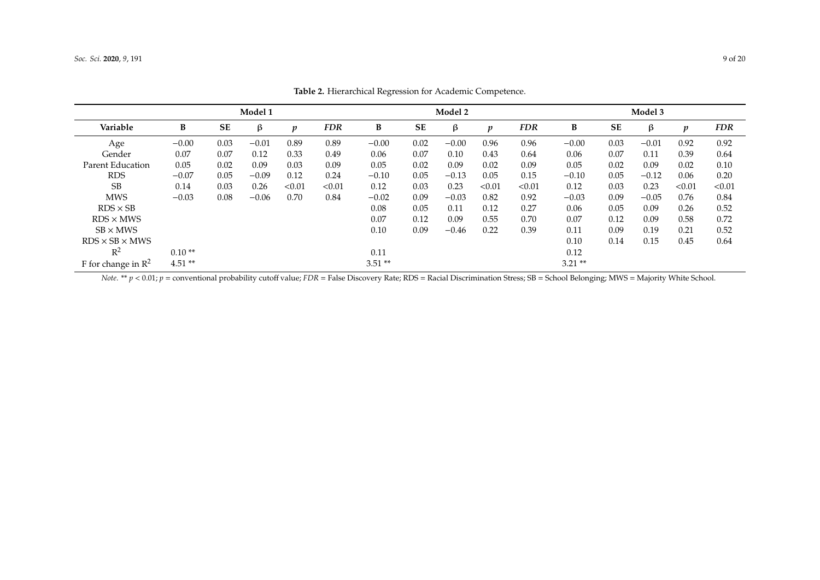|                                |          | Model 1   |         |                  | Model 2    |          |           | Model 3 |        |            |          |           |         |                  |            |
|--------------------------------|----------|-----------|---------|------------------|------------|----------|-----------|---------|--------|------------|----------|-----------|---------|------------------|------------|
| Variable                       | B        | <b>SE</b> | β       | $\boldsymbol{v}$ | <b>FDR</b> | B        | <b>SE</b> | $\beta$ | v      | <b>FDR</b> | B        | <b>SE</b> | ß       | $\boldsymbol{v}$ | <b>FDR</b> |
| Age                            | $-0.00$  | 0.03      | $-0.01$ | 0.89             | 0.89       | $-0.00$  | 0.02      | $-0.00$ | 0.96   | 0.96       | $-0.00$  | 0.03      | $-0.01$ | 0.92             | 0.92       |
| Gender                         | 0.07     | 0.07      | 0.12    | 0.33             | 0.49       | 0.06     | 0.07      | 0.10    | 0.43   | 0.64       | 0.06     | 0.07      | 0.11    | 0.39             | 0.64       |
| Parent Education               | 0.05     | 0.02      | 0.09    | 0.03             | 0.09       | 0.05     | 0.02      | 0.09    | 0.02   | 0.09       | 0.05     | 0.02      | 0.09    | 0.02             | 0.10       |
| <b>RDS</b>                     | $-0.07$  | 0.05      | $-0.09$ | 0.12             | 0.24       | $-0.10$  | 0.05      | $-0.13$ | 0.05   | 0.15       | $-0.10$  | 0.05      | $-0.12$ | 0.06             | 0.20       |
| <b>SB</b>                      | 0.14     | 0.03      | 0.26    | < 0.01           | < 0.01     | 0.12     | 0.03      | 0.23    | < 0.01 | < 0.01     | 0.12     | 0.03      | 0.23    | < 0.01           | < 0.01     |
| <b>MWS</b>                     | $-0.03$  | 0.08      | $-0.06$ | 0.70             | 0.84       | $-0.02$  | 0.09      | $-0.03$ | 0.82   | 0.92       | $-0.03$  | 0.09      | $-0.05$ | 0.76             | 0.84       |
| $RDS \times SB$                |          |           |         |                  |            | 0.08     | 0.05      | 0.11    | 0.12   | 0.27       | 0.06     | 0.05      | 0.09    | 0.26             | 0.52       |
| $RDS \times MWS$               |          |           |         |                  |            | 0.07     | 0.12      | 0.09    | 0.55   | 0.70       | 0.07     | 0.12      | 0.09    | 0.58             | 0.72       |
| $SB \times MWS$                |          |           |         |                  |            | 0.10     | 0.09      | $-0.46$ | 0.22   | 0.39       | 0.11     | 0.09      | 0.19    | 0.21             | 0.52       |
| $RDS \times SB \times MWS$     |          |           |         |                  |            |          |           |         |        |            | 0.10     | 0.14      | 0.15    | 0.45             | 0.64       |
| $R^2$                          | $0.10**$ |           |         |                  |            | 0.11     |           |         |        |            | 0.12     |           |         |                  |            |
| F for change in $\mathbb{R}^2$ | $4.51**$ |           |         |                  |            | $3.51**$ |           |         |        |            | $3.21**$ |           |         |                  |            |

**Table 2.** Hierarchical Regression for Academic Competence.

<span id="page-8-0"></span>*Note.* \*\*  $p < 0.01$ ;  $p =$  conventional probability cutoff value; *FDR* = False Discovery Rate; RDS = Racial Discrimination Stress; SB = School Belonging; MWS = Majority White School.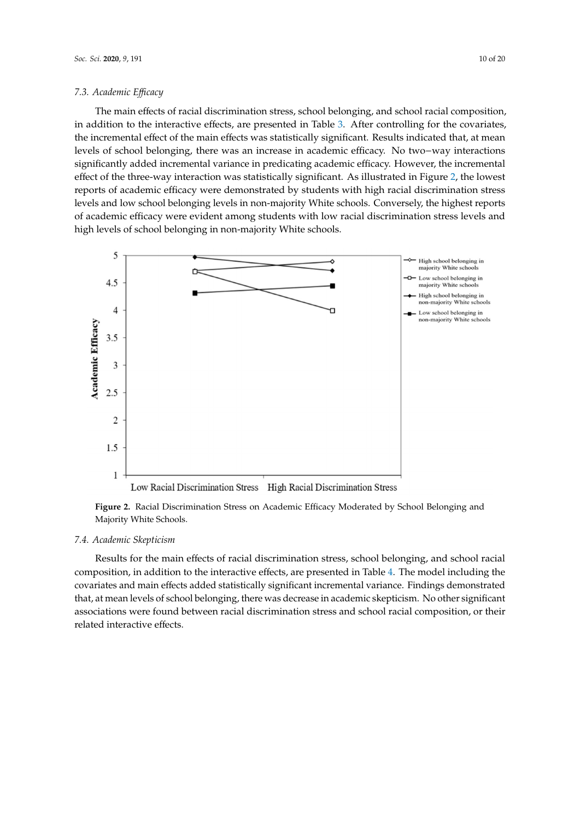# *7.3. Academic E*ffi*cacy 7.3. Academic Efficacy*

The main effects of racial discrimination stress, school belonging, and school racial composition, The main effects of racial discrimination stress, school belonging, and school racial composition, in addition to the interactive effects, are presented in Table [3.](#page-10-0) After controlling for the covariates, the incremental effect of the main effects was statistically significant. Results indicated that, at mean levels of school belonging, there was an increase in academic efficacy. No two−way interactions levels of school belonging, there was an increase in academic efficacy. No two−way interactions significantly added incremental variance in predicating academic efficacy. However, the incremental significantly added incremental variance in predicating academic efficacy. However, the incremental effect of the three-way interaction was statistically significant. As illustrated in Figure [2,](#page-9-0) the lowest effect of the three-way interaction was statistically significant. As illustrated in Figure 2, the lowest reports of academic efficacy were demonstrated by students with high racial discrimination stress reports of academic efficacy were demonstrated by students with high racial discrimination stress levels and low school belonging levels in non-majority White schools. Conversely, the highest reports levels and low school belonging levels in non-majority White schools. Conversely, the highest reports of academic efficacy were evident among students with low racial discrimination stress levels and of academic efficacy were evident among students with low racial discrimination stress levels and high levels of school belonging in non-majority White schools.

<span id="page-9-0"></span>

**Figure 2.** Racial Discrimination Stress on Academic Efficacy Moderated by School Belonging and **Figure 2.** Racial Discrimination Stress on Academic Efficacy Moderated by School Belonging and Majority White Schools. Majority White Schools.

#### *7.4. Academic Skepticism 7.4. Academic Skepticism*

composition, in addition to the interactive effects, are presented in Table [4.](#page-10-1) The model including the covariates and main effects added statistically significant incremental variance. Findings demonstrated that, at mean levels of school belonging, there was decrease in academic skepticism. No other significant associations were found between racial discrimination stress and school racial composition, or their related interactive effects. Results for the main effects of racial discrimination stress, school belonging, and school racial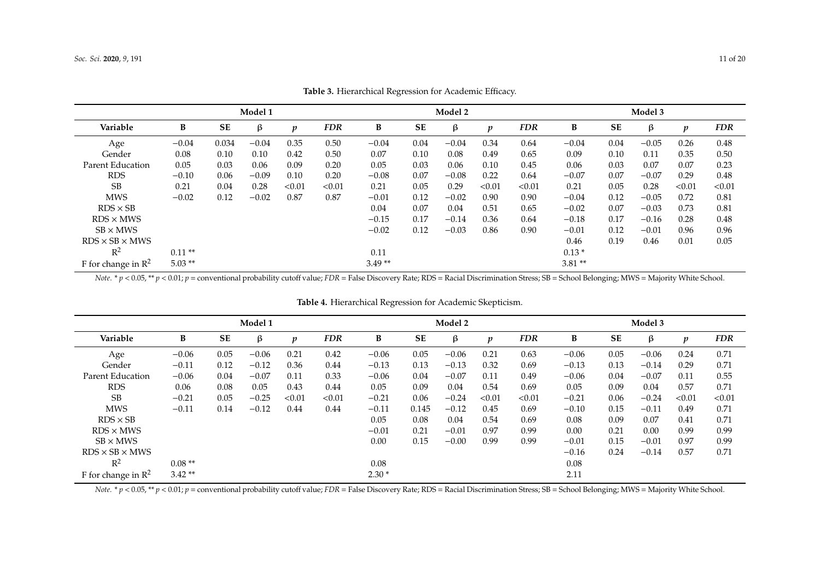| Model 1                        |          |           |         |                  |            |          |           | Model 2 |                  | Model 3    |          |           |         |                  |            |  |
|--------------------------------|----------|-----------|---------|------------------|------------|----------|-----------|---------|------------------|------------|----------|-----------|---------|------------------|------------|--|
| Variable                       | B        | <b>SE</b> | β       | $\boldsymbol{p}$ | <b>FDR</b> | B        | <b>SE</b> | β       | $\boldsymbol{v}$ | <b>FDR</b> | B        | <b>SE</b> | ß       | $\boldsymbol{v}$ | <b>FDR</b> |  |
| Age                            | $-0.04$  | 0.034     | $-0.04$ | 0.35             | 0.50       | $-0.04$  | 0.04      | $-0.04$ | 0.34             | 0.64       | $-0.04$  | 0.04      | $-0.05$ | 0.26             | 0.48       |  |
| Gender                         | 0.08     | 0.10      | 0.10    | 0.42             | 0.50       | 0.07     | 0.10      | 0.08    | 0.49             | 0.65       | 0.09     | 0.10      | 0.11    | 0.35             | 0.50       |  |
| <b>Parent Education</b>        | 0.05     | 0.03      | 0.06    | 0.09             | 0.20       | 0.05     | 0.03      | 0.06    | 0.10             | 0.45       | 0.06     | 0.03      | 0.07    | 0.07             | 0.23       |  |
| <b>RDS</b>                     | $-0.10$  | 0.06      | $-0.09$ | 0.10             | 0.20       | $-0.08$  | 0.07      | $-0.08$ | 0.22             | 0.64       | $-0.07$  | 0.07      | $-0.07$ | 0.29             | 0.48       |  |
| <b>SB</b>                      | 0.21     | 0.04      | 0.28    | < 0.01           | < 0.01     | 0.21     | 0.05      | 0.29    | < 0.01           | < 0.01     | 0.21     | 0.05      | 0.28    | < 0.01           | < 0.01     |  |
| <b>MWS</b>                     | $-0.02$  | 0.12      | $-0.02$ | 0.87             | 0.87       | $-0.01$  | 0.12      | $-0.02$ | 0.90             | 0.90       | $-0.04$  | 0.12      | $-0.05$ | 0.72             | 0.81       |  |
| $RDS \times SB$                |          |           |         |                  |            | 0.04     | 0.07      | 0.04    | 0.51             | 0.65       | $-0.02$  | 0.07      | $-0.03$ | 0.73             | 0.81       |  |
| $RDS \times MWS$               |          |           |         |                  |            | $-0.15$  | 0.17      | $-0.14$ | 0.36             | 0.64       | $-0.18$  | 0.17      | $-0.16$ | 0.28             | 0.48       |  |
| $SB \times MWS$                |          |           |         |                  |            | $-0.02$  | 0.12      | $-0.03$ | 0.86             | 0.90       | $-0.01$  | 0.12      | $-0.01$ | 0.96             | 0.96       |  |
| $RDS \times SB \times MWS$     |          |           |         |                  |            |          |           |         |                  |            | 0.46     | 0.19      | 0.46    | 0.01             | 0.05       |  |
| $R^2$                          | $0.11**$ |           |         |                  |            | 0.11     |           |         |                  |            | $0.13*$  |           |         |                  |            |  |
| F for change in $\mathbb{R}^2$ | $5.03**$ |           |         |                  |            | $3.49**$ |           |         |                  |            | $3.81**$ |           |         |                  |            |  |

**Table 3.** Hierarchical Regression for Academic Efficacy.

*Note*. \*  $p$  < 0.05, \*\*  $p$  < 0.01;  $p$  = conventional probability cutoff value; *FDR* = False Discovery Rate; RDS = Racial Discrimination Stress; SB = School Belonging; MWS = Majority White School.

| Table 4. Hierarchical Regression for Academic Skepticism. |  |  |  |
|-----------------------------------------------------------|--|--|--|
|-----------------------------------------------------------|--|--|--|

<span id="page-10-0"></span>

|                                | Model 1  |           |         |                  |            | Model 2 |           |         |                  |            | Model 3 |           |         |                  |            |  |
|--------------------------------|----------|-----------|---------|------------------|------------|---------|-----------|---------|------------------|------------|---------|-----------|---------|------------------|------------|--|
| Variable                       | B        | <b>SE</b> | β       | $\boldsymbol{p}$ | <b>FDR</b> | В       | <b>SE</b> | β       | $\boldsymbol{p}$ | <b>FDR</b> | B       | <b>SE</b> | β       | $\boldsymbol{p}$ | <b>FDR</b> |  |
| Age                            | $-0.06$  | 0.05      | $-0.06$ | 0.21             | 0.42       | $-0.06$ | 0.05      | $-0.06$ | 0.21             | 0.63       | $-0.06$ | 0.05      | $-0.06$ | 0.24             | 0.71       |  |
| Gender                         | $-0.11$  | 0.12      | $-0.12$ | 0.36             | 0.44       | $-0.13$ | 0.13      | $-0.13$ | 0.32             | 0.69       | $-0.13$ | 0.13      | $-0.14$ | 0.29             | 0.71       |  |
| <b>Parent Education</b>        | $-0.06$  | 0.04      | $-0.07$ | 0.11             | 0.33       | $-0.06$ | 0.04      | $-0.07$ | 0.11             | 0.49       | $-0.06$ | 0.04      | $-0.07$ | 0.11             | 0.55       |  |
| <b>RDS</b>                     | 0.06     | 0.08      | 0.05    | 0.43             | 0.44       | 0.05    | 0.09      | 0.04    | 0.54             | 0.69       | 0.05    | 0.09      | 0.04    | 0.57             | 0.71       |  |
| <b>SB</b>                      | $-0.21$  | 0.05      | $-0.25$ | < 0.01           | < 0.01     | $-0.21$ | 0.06      | $-0.24$ | < 0.01           | < 0.01     | $-0.21$ | 0.06      | $-0.24$ | < 0.01           | < 0.01     |  |
| <b>MWS</b>                     | $-0.11$  | 0.14      | $-0.12$ | 0.44             | 0.44       | $-0.11$ | 0.145     | $-0.12$ | 0.45             | 0.69       | $-0.10$ | 0.15      | $-0.11$ | 0.49             | 0.71       |  |
| $RDS \times SB$                |          |           |         |                  |            | 0.05    | 0.08      | 0.04    | 0.54             | 0.69       | 0.08    | 0.09      | 0.07    | 0.41             | 0.71       |  |
| $RDS \times MWS$               |          |           |         |                  |            | $-0.01$ | 0.21      | $-0.01$ | 0.97             | 0.99       | 0.00    | 0.21      | 0.00    | 0.99             | 0.99       |  |
| $SB \times MWS$                |          |           |         |                  |            | 0.00    | 0.15      | $-0.00$ | 0.99             | 0.99       | $-0.01$ | 0.15      | $-0.01$ | 0.97             | 0.99       |  |
| $RDS \times SB \times MWS$     |          |           |         |                  |            |         |           |         |                  |            | $-0.16$ | 0.24      | $-0.14$ | 0.57             | 0.71       |  |
| $R^2$                          | $0.08**$ |           |         |                  |            | 0.08    |           |         |                  |            | 0.08    |           |         |                  |            |  |
| F for change in $\mathbb{R}^2$ | $3.42**$ |           |         |                  |            | $2.30*$ |           |         |                  |            | 2.11    |           |         |                  |            |  |

<span id="page-10-1"></span>*Note.* \* *p* < 0.05, \*\* *p* < 0.01; *p* = conventional probability cutoff value; *FDR* = False Discovery Rate; RDS = Racial Discrimination Stress; SB = School Belonging; MWS = Majority White School.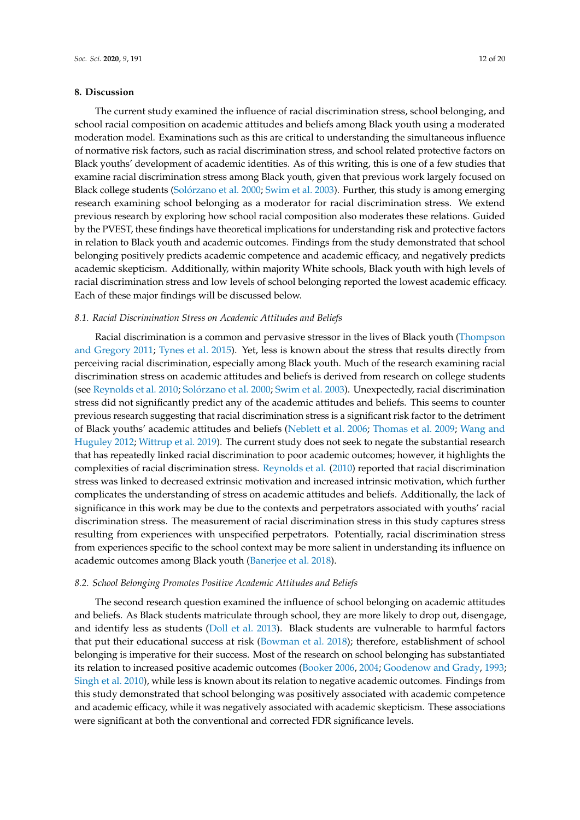#### **8. Discussion**

The current study examined the influence of racial discrimination stress, school belonging, and school racial composition on academic attitudes and beliefs among Black youth using a moderated moderation model. Examinations such as this are critical to understanding the simultaneous influence of normative risk factors, such as racial discrimination stress, and school related protective factors on Black youths' development of academic identities. As of this writing, this is one of a few studies that examine racial discrimination stress among Black youth, given that previous work largely focused on Black college students (Soló[rzano et al.](#page-18-10) [2000;](#page-18-10) [Swim et al.](#page-18-9) [2003\)](#page-18-9). Further, this study is among emerging research examining school belonging as a moderator for racial discrimination stress. We extend previous research by exploring how school racial composition also moderates these relations. Guided by the PVEST, these findings have theoretical implications for understanding risk and protective factors in relation to Black youth and academic outcomes. Findings from the study demonstrated that school belonging positively predicts academic competence and academic efficacy, and negatively predicts academic skepticism. Additionally, within majority White schools, Black youth with high levels of racial discrimination stress and low levels of school belonging reported the lowest academic efficacy. Each of these major findings will be discussed below.

#### *8.1. Racial Discrimination Stress on Academic Attitudes and Beliefs*

Racial discrimination is a common and pervasive stressor in the lives of Black youth [\(Thompson](#page-19-2) [and Gregory](#page-19-2) [2011;](#page-19-2) [Tynes et al.](#page-19-3) [2015\)](#page-19-3). Yet, less is known about the stress that results directly from perceiving racial discrimination, especially among Black youth. Much of the research examining racial discrimination stress on academic attitudes and beliefs is derived from research on college students (see [Reynolds et al.](#page-17-5) [2010;](#page-17-5) Soló[rzano et al.](#page-18-10) [2000;](#page-18-10) [Swim et al.](#page-18-9) [2003\)](#page-18-9). Unexpectedly, racial discrimination stress did not significantly predict any of the academic attitudes and beliefs. This seems to counter previous research suggesting that racial discrimination stress is a significant risk factor to the detriment of Black youths' academic attitudes and beliefs [\(Neblett et al.](#page-17-3) [2006;](#page-17-3) [Thomas et al.](#page-19-4) [2009;](#page-19-4) [Wang and](#page-19-5) [Huguley](#page-19-5) [2012;](#page-19-5) [Wittrup et al.](#page-19-6) [2019\)](#page-19-6). The current study does not seek to negate the substantial research that has repeatedly linked racial discrimination to poor academic outcomes; however, it highlights the complexities of racial discrimination stress. [Reynolds et al.](#page-17-5) [\(2010\)](#page-17-5) reported that racial discrimination stress was linked to decreased extrinsic motivation and increased intrinsic motivation, which further complicates the understanding of stress on academic attitudes and beliefs. Additionally, the lack of significance in this work may be due to the contexts and perpetrators associated with youths' racial discrimination stress. The measurement of racial discrimination stress in this study captures stress resulting from experiences with unspecified perpetrators. Potentially, racial discrimination stress from experiences specific to the school context may be more salient in understanding its influence on academic outcomes among Black youth [\(Banerjee et al.](#page-14-4) [2018\)](#page-14-4).

#### *8.2. School Belonging Promotes Positive Academic Attitudes and Beliefs*

The second research question examined the influence of school belonging on academic attitudes and beliefs. As Black students matriculate through school, they are more likely to drop out, disengage, and identify less as students [\(Doll et al.](#page-15-2) [2013\)](#page-15-2). Black students are vulnerable to harmful factors that put their educational success at risk [\(Bowman et al.](#page-15-0) [2018\)](#page-15-0); therefore, establishment of school belonging is imperative for their success. Most of the research on school belonging has substantiated its relation to increased positive academic outcomes [\(Booker](#page-14-1) [2006,](#page-14-1) [2004;](#page-14-2) [Goodenow and Grady,](#page-16-20) [1993;](#page-16-20) [Singh et al.](#page-18-18) [2010\)](#page-18-18), while less is known about its relation to negative academic outcomes. Findings from this study demonstrated that school belonging was positively associated with academic competence and academic efficacy, while it was negatively associated with academic skepticism. These associations were significant at both the conventional and corrected FDR significance levels.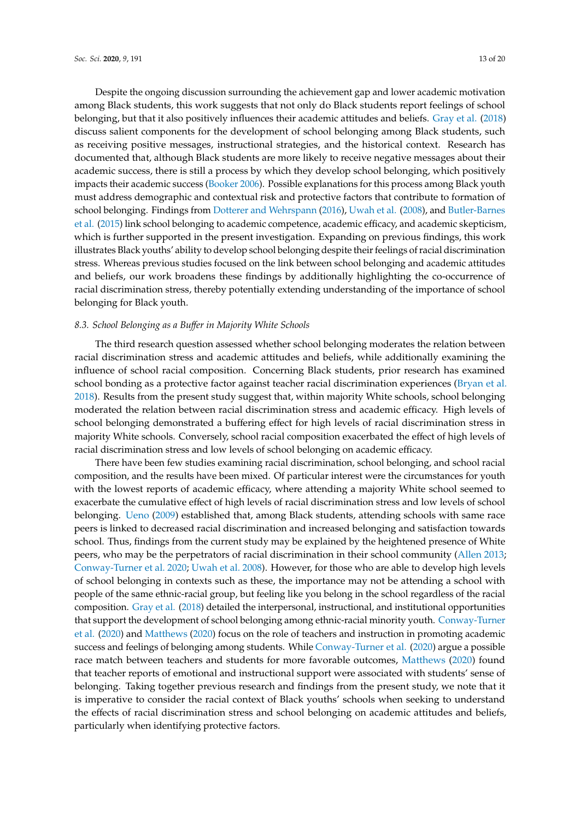Despite the ongoing discussion surrounding the achievement gap and lower academic motivation among Black students, this work suggests that not only do Black students report feelings of school belonging, but that it also positively influences their academic attitudes and beliefs. [Gray et al.](#page-16-3) [\(2018\)](#page-16-3) discuss salient components for the development of school belonging among Black students, such as receiving positive messages, instructional strategies, and the historical context. Research has documented that, although Black students are more likely to receive negative messages about their academic success, there is still a process by which they develop school belonging, which positively impacts their academic success [\(Booker](#page-14-1) [2006\)](#page-14-1). Possible explanations for this process among Black youth must address demographic and contextual risk and protective factors that contribute to formation of school belonging. Findings from [Dotterer and Wehrspann](#page-16-12) [\(2016\)](#page-16-12), [Uwah et al.](#page-19-1) [\(2008\)](#page-19-1), and [Butler-Barnes](#page-15-15) [et al.](#page-15-15) [\(2015\)](#page-15-15) link school belonging to academic competence, academic efficacy, and academic skepticism, which is further supported in the present investigation. Expanding on previous findings, this work illustrates Black youths' ability to develop school belonging despite their feelings of racial discrimination stress. Whereas previous studies focused on the link between school belonging and academic attitudes and beliefs, our work broadens these findings by additionally highlighting the co-occurrence of racial discrimination stress, thereby potentially extending understanding of the importance of school belonging for Black youth.

#### *8.3. School Belonging as a Bu*ff*er in Majority White Schools*

The third research question assessed whether school belonging moderates the relation between racial discrimination stress and academic attitudes and beliefs, while additionally examining the influence of school racial composition. Concerning Black students, prior research has examined school bonding as a protective factor against teacher racial discrimination experiences [\(Bryan et al.](#page-15-11) [2018\)](#page-15-11). Results from the present study suggest that, within majority White schools, school belonging moderated the relation between racial discrimination stress and academic efficacy. High levels of school belonging demonstrated a buffering effect for high levels of racial discrimination stress in majority White schools. Conversely, school racial composition exacerbated the effect of high levels of racial discrimination stress and low levels of school belonging on academic efficacy.

There have been few studies examining racial discrimination, school belonging, and school racial composition, and the results have been mixed. Of particular interest were the circumstances for youth with the lowest reports of academic efficacy, where attending a majority White school seemed to exacerbate the cumulative effect of high levels of racial discrimination stress and low levels of school belonging. [Ueno](#page-19-7) [\(2009\)](#page-19-7) established that, among Black students, attending schools with same race peers is linked to decreased racial discrimination and increased belonging and satisfaction towards school. Thus, findings from the current study may be explained by the heightened presence of White peers, who may be the perpetrators of racial discrimination in their school community [\(Allen](#page-14-5) [2013;](#page-14-5) [Conway-Turner et al.](#page-15-16) [2020;](#page-15-16) [Uwah et al.](#page-19-1) [2008\)](#page-19-1). However, for those who are able to develop high levels of school belonging in contexts such as these, the importance may not be attending a school with people of the same ethnic-racial group, but feeling like you belong in the school regardless of the racial composition. [Gray et al.](#page-16-3) [\(2018\)](#page-16-3) detailed the interpersonal, instructional, and institutional opportunities that support the development of school belonging among ethnic-racial minority youth. [Conway-Turner](#page-15-16) [et al.](#page-15-16) [\(2020\)](#page-15-16) and [Matthews](#page-17-18) [\(2020\)](#page-17-18) focus on the role of teachers and instruction in promoting academic success and feelings of belonging among students. While [Conway-Turner et al.](#page-15-16) [\(2020\)](#page-15-16) argue a possible race match between teachers and students for more favorable outcomes, [Matthews](#page-17-18) [\(2020\)](#page-17-18) found that teacher reports of emotional and instructional support were associated with students' sense of belonging. Taking together previous research and findings from the present study, we note that it is imperative to consider the racial context of Black youths' schools when seeking to understand the effects of racial discrimination stress and school belonging on academic attitudes and beliefs, particularly when identifying protective factors.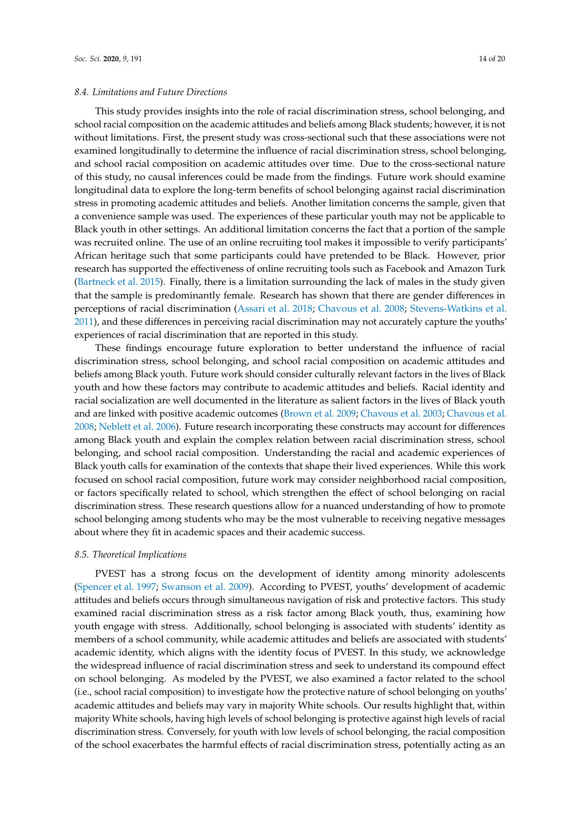This study provides insights into the role of racial discrimination stress, school belonging, and school racial composition on the academic attitudes and beliefs among Black students; however, it is not without limitations. First, the present study was cross-sectional such that these associations were not examined longitudinally to determine the influence of racial discrimination stress, school belonging, and school racial composition on academic attitudes over time. Due to the cross-sectional nature of this study, no causal inferences could be made from the findings. Future work should examine longitudinal data to explore the long-term benefits of school belonging against racial discrimination stress in promoting academic attitudes and beliefs. Another limitation concerns the sample, given that a convenience sample was used. The experiences of these particular youth may not be applicable to Black youth in other settings. An additional limitation concerns the fact that a portion of the sample

was recruited online. The use of an online recruiting tool makes it impossible to verify participants' African heritage such that some participants could have pretended to be Black. However, prior research has supported the effectiveness of online recruiting tools such as Facebook and Amazon Turk [\(Bartneck et al.](#page-14-6) [2015\)](#page-14-6). Finally, there is a limitation surrounding the lack of males in the study given that the sample is predominantly female. Research has shown that there are gender differences in perceptions of racial discrimination [\(Assari et al.](#page-14-7) [2018;](#page-14-7) [Chavous et al.](#page-15-3) [2008;](#page-15-3) [Stevens-Watkins et al.](#page-18-8) [2011\)](#page-18-8), and these differences in perceiving racial discrimination may not accurately capture the youths' experiences of racial discrimination that are reported in this study.

These findings encourage future exploration to better understand the influence of racial discrimination stress, school belonging, and school racial composition on academic attitudes and beliefs among Black youth. Future work should consider culturally relevant factors in the lives of Black youth and how these factors may contribute to academic attitudes and beliefs. Racial identity and racial socialization are well documented in the literature as salient factors in the lives of Black youth and are linked with positive academic outcomes [\(Brown et al.](#page-15-17) [2009;](#page-15-17) [Chavous et al.](#page-15-18) [2003;](#page-15-18) [Chavous et al.](#page-15-3) [2008;](#page-15-3) [Neblett et al.](#page-17-3) [2006\)](#page-17-3). Future research incorporating these constructs may account for differences among Black youth and explain the complex relation between racial discrimination stress, school belonging, and school racial composition. Understanding the racial and academic experiences of Black youth calls for examination of the contexts that shape their lived experiences. While this work focused on school racial composition, future work may consider neighborhood racial composition, or factors specifically related to school, which strengthen the effect of school belonging on racial discrimination stress. These research questions allow for a nuanced understanding of how to promote school belonging among students who may be the most vulnerable to receiving negative messages about where they fit in academic spaces and their academic success.

#### *8.5. Theoretical Implications*

PVEST has a strong focus on the development of identity among minority adolescents [\(Spencer et al.](#page-18-2) [1997;](#page-18-2) [Swanson et al.](#page-18-4) [2009\)](#page-18-4). According to PVEST, youths' development of academic attitudes and beliefs occurs through simultaneous navigation of risk and protective factors. This study examined racial discrimination stress as a risk factor among Black youth, thus, examining how youth engage with stress. Additionally, school belonging is associated with students' identity as members of a school community, while academic attitudes and beliefs are associated with students' academic identity, which aligns with the identity focus of PVEST. In this study, we acknowledge the widespread influence of racial discrimination stress and seek to understand its compound effect on school belonging. As modeled by the PVEST, we also examined a factor related to the school (i.e., school racial composition) to investigate how the protective nature of school belonging on youths' academic attitudes and beliefs may vary in majority White schools. Our results highlight that, within majority White schools, having high levels of school belonging is protective against high levels of racial discrimination stress. Conversely, for youth with low levels of school belonging, the racial composition of the school exacerbates the harmful effects of racial discrimination stress, potentially acting as an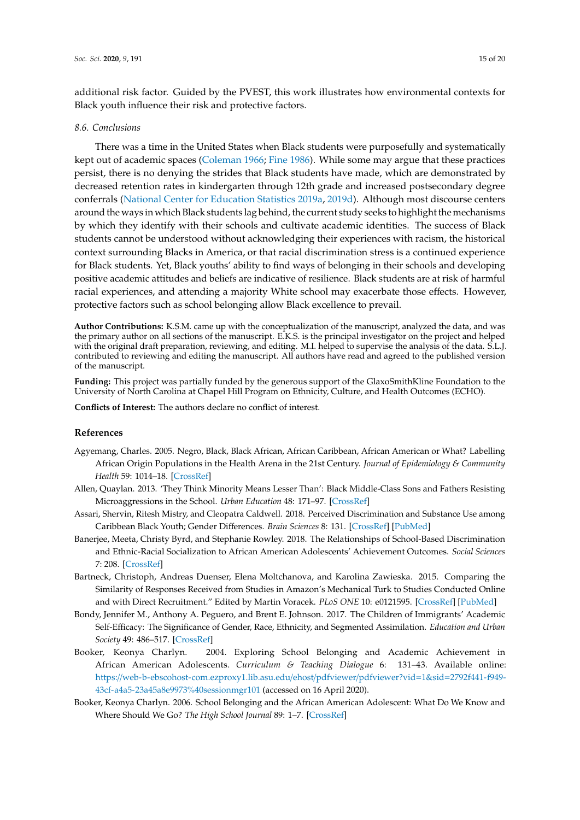additional risk factor. Guided by the PVEST, this work illustrates how environmental contexts for Black youth influence their risk and protective factors.

#### *8.6. Conclusions*

There was a time in the United States when Black students were purposefully and systematically kept out of academic spaces [\(Coleman](#page-15-19) [1966;](#page-15-19) [Fine](#page-16-21) [1986\)](#page-16-21). While some may argue that these practices persist, there is no denying the strides that Black students have made, which are demonstrated by decreased retention rates in kindergarten through 12th grade and increased postsecondary degree conferrals [\(National Center for Education Statistics](#page-17-19) [2019a,](#page-17-19) [2019d\)](#page-17-20). Although most discourse centers around the ways in which Black students lag behind, the current study seeks to highlight the mechanisms by which they identify with their schools and cultivate academic identities. The success of Black students cannot be understood without acknowledging their experiences with racism, the historical context surrounding Blacks in America, or that racial discrimination stress is a continued experience for Black students. Yet, Black youths' ability to find ways of belonging in their schools and developing positive academic attitudes and beliefs are indicative of resilience. Black students are at risk of harmful racial experiences, and attending a majority White school may exacerbate those effects. However, protective factors such as school belonging allow Black excellence to prevail.

**Author Contributions:** K.S.M. came up with the conceptualization of the manuscript, analyzed the data, and was the primary author on all sections of the manuscript. E.K.S. is the principal investigator on the project and helped with the original draft preparation, reviewing, and editing. M.I. helped to supervise the analysis of the data. S.L.J. contributed to reviewing and editing the manuscript. All authors have read and agreed to the published version of the manuscript.

**Funding:** This project was partially funded by the generous support of the GlaxoSmithKline Foundation to the University of North Carolina at Chapel Hill Program on Ethnicity, Culture, and Health Outcomes (ECHO).

**Conflicts of Interest:** The authors declare no conflict of interest.

## **References**

- <span id="page-14-0"></span>Agyemang, Charles. 2005. Negro, Black, Black African, African Caribbean, African American or What? Labelling African Origin Populations in the Health Arena in the 21st Century. *Journal of Epidemiology & Community Health* 59: 1014–18. [\[CrossRef\]](http://dx.doi.org/10.1136/jech.2005.035964)
- <span id="page-14-5"></span>Allen, Quaylan. 2013. 'They Think Minority Means Lesser Than': Black Middle-Class Sons and Fathers Resisting Microaggressions in the School. *Urban Education* 48: 171–97. [\[CrossRef\]](http://dx.doi.org/10.1177/0042085912450575)
- <span id="page-14-7"></span>Assari, Shervin, Ritesh Mistry, and Cleopatra Caldwell. 2018. Perceived Discrimination and Substance Use among Caribbean Black Youth; Gender Differences. *Brain Sciences* 8: 131. [\[CrossRef\]](http://dx.doi.org/10.3390/brainsci8070131) [\[PubMed\]](http://www.ncbi.nlm.nih.gov/pubmed/29987209)
- <span id="page-14-4"></span>Banerjee, Meeta, Christy Byrd, and Stephanie Rowley. 2018. The Relationships of School-Based Discrimination and Ethnic-Racial Socialization to African American Adolescents' Achievement Outcomes. *Social Sciences* 7: 208. [\[CrossRef\]](http://dx.doi.org/10.3390/socsci7100208)
- <span id="page-14-6"></span>Bartneck, Christoph, Andreas Duenser, Elena Moltchanova, and Karolina Zawieska. 2015. Comparing the Similarity of Responses Received from Studies in Amazon's Mechanical Turk to Studies Conducted Online and with Direct Recruitment." Edited by Martin Voracek. *PLoS ONE* 10: e0121595. [\[CrossRef\]](http://dx.doi.org/10.1371/journal.pone.0121595) [\[PubMed\]](http://www.ncbi.nlm.nih.gov/pubmed/25876027)
- <span id="page-14-3"></span>Bondy, Jennifer M., Anthony A. Peguero, and Brent E. Johnson. 2017. The Children of Immigrants' Academic Self-Efficacy: The Significance of Gender, Race, Ethnicity, and Segmented Assimilation. *Education and Urban Society* 49: 486–517. [\[CrossRef\]](http://dx.doi.org/10.1177/0013124516644049)
- <span id="page-14-2"></span>Booker, Keonya Charlyn. 2004. Exploring School Belonging and Academic Achievement in African American Adolescents. *Curriculum & Teaching Dialogue* 6: 131–43. Available online: https://[web-b-ebscohost-com.ezproxy1.lib.asu.edu](https://web-b-ebscohost-com.ezproxy1.lib.asu.edu/ehost/pdfviewer/pdfviewer?vid=1&sid=2792f441-f949-43cf-a4a5-23a45a8e9973%40sessionmgr101)/ehost/pdfviewer/pdfviewer?vid=1&sid=2792f441-f949- [43cf-a4a5-23a45a8e9973%40sessionmgr101](https://web-b-ebscohost-com.ezproxy1.lib.asu.edu/ehost/pdfviewer/pdfviewer?vid=1&sid=2792f441-f949-43cf-a4a5-23a45a8e9973%40sessionmgr101) (accessed on 16 April 2020).
- <span id="page-14-1"></span>Booker, Keonya Charlyn. 2006. School Belonging and the African American Adolescent: What Do We Know and Where Should We Go? *The High School Journal* 89: 1–7. [\[CrossRef\]](http://dx.doi.org/10.1353/hsj.2006.0005)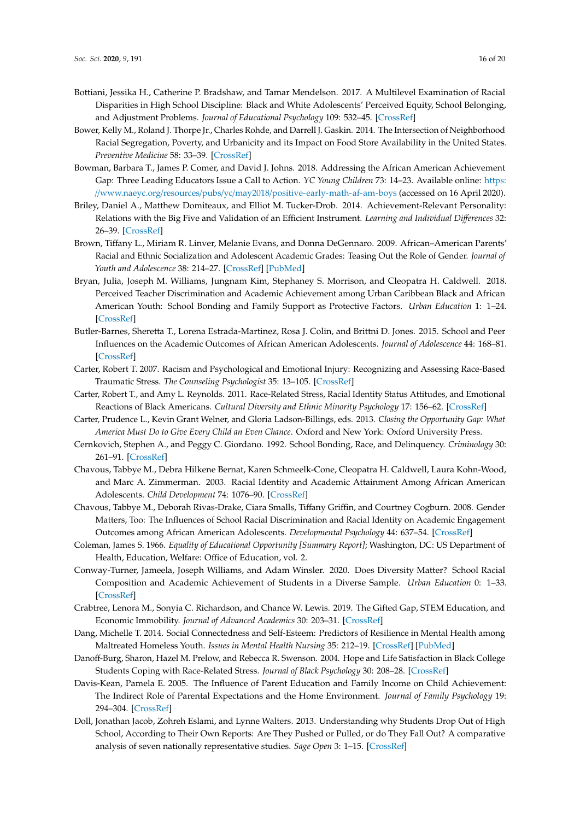- <span id="page-15-12"></span>Bottiani, Jessika H., Catherine P. Bradshaw, and Tamar Mendelson. 2017. A Multilevel Examination of Racial Disparities in High School Discipline: Black and White Adolescents' Perceived Equity, School Belonging, and Adjustment Problems. *Journal of Educational Psychology* 109: 532–45. [\[CrossRef\]](http://dx.doi.org/10.1037/edu0000155)
- <span id="page-15-13"></span>Bower, Kelly M., Roland J. Thorpe Jr., Charles Rohde, and Darrell J. Gaskin. 2014. The Intersection of Neighborhood Racial Segregation, Poverty, and Urbanicity and its Impact on Food Store Availability in the United States. *Preventive Medicine* 58: 33–39. [\[CrossRef\]](http://dx.doi.org/10.1016/j.ypmed.2013.10.010)
- <span id="page-15-0"></span>Bowman, Barbara T., James P. Comer, and David J. Johns. 2018. Addressing the African American Achievement Gap: Three Leading Educators Issue a Call to Action. *YC Young Children* 73: 14–23. Available online: [https:](https://www.naeyc.org/resources/pubs/yc/may2018/positive-early-math-af-am-boys) //www.naeyc.org/resources/pubs/yc/may2018/[positive-early-math-af-am-boys](https://www.naeyc.org/resources/pubs/yc/may2018/positive-early-math-af-am-boys) (accessed on 16 April 2020).
- <span id="page-15-10"></span>Briley, Daniel A., Matthew Domiteaux, and Elliot M. Tucker-Drob. 2014. Achievement-Relevant Personality: Relations with the Big Five and Validation of an Efficient Instrument. *Learning and Individual Di*ff*erences* 32: 26–39. [\[CrossRef\]](http://dx.doi.org/10.1016/j.lindif.2014.03.010)
- <span id="page-15-17"></span>Brown, Tiffany L., Miriam R. Linver, Melanie Evans, and Donna DeGennaro. 2009. African–American Parents' Racial and Ethnic Socialization and Adolescent Academic Grades: Teasing Out the Role of Gender. *Journal of Youth and Adolescence* 38: 214–27. [\[CrossRef\]](http://dx.doi.org/10.1007/s10964-008-9362-z) [\[PubMed\]](http://www.ncbi.nlm.nih.gov/pubmed/19636719)
- <span id="page-15-11"></span>Bryan, Julia, Joseph M. Williams, Jungnam Kim, Stephaney S. Morrison, and Cleopatra H. Caldwell. 2018. Perceived Teacher Discrimination and Academic Achievement among Urban Caribbean Black and African American Youth: School Bonding and Family Support as Protective Factors. *Urban Education* 1: 1–24. [\[CrossRef\]](http://dx.doi.org/10.1177/0042085918806959)
- <span id="page-15-15"></span>Butler-Barnes, Sheretta T., Lorena Estrada-Martinez, Rosa J. Colin, and Brittni D. Jones. 2015. School and Peer Influences on the Academic Outcomes of African American Adolescents. *Journal of Adolescence* 44: 168–81. [\[CrossRef\]](http://dx.doi.org/10.1016/j.adolescence.2015.07.007)
- <span id="page-15-4"></span>Carter, Robert T. 2007. Racism and Psychological and Emotional Injury: Recognizing and Assessing Race-Based Traumatic Stress. *The Counseling Psychologist* 35: 13–105. [\[CrossRef\]](http://dx.doi.org/10.1177/0011000006292033)
- <span id="page-15-6"></span>Carter, Robert T., and Amy L. Reynolds. 2011. Race-Related Stress, Racial Identity Status Attitudes, and Emotional Reactions of Black Americans. *Cultural Diversity and Ethnic Minority Psychology* 17: 156–62. [\[CrossRef\]](http://dx.doi.org/10.1037/a0023358)
- <span id="page-15-5"></span>Carter, Prudence L., Kevin Grant Welner, and Gloria Ladson-Billings, eds. 2013. *Closing the Opportunity Gap: What America Must Do to Give Every Child an Even Chance*. Oxford and New York: Oxford University Press.
- <span id="page-15-8"></span>Cernkovich, Stephen A., and Peggy C. Giordano. 1992. School Bonding, Race, and Delinquency. *Criminology* 30: 261–91. [\[CrossRef\]](http://dx.doi.org/10.1111/j.1745-9125.1992.tb01105.x)
- <span id="page-15-18"></span>Chavous, Tabbye M., Debra Hilkene Bernat, Karen Schmeelk-Cone, Cleopatra H. Caldwell, Laura Kohn-Wood, and Marc A. Zimmerman. 2003. Racial Identity and Academic Attainment Among African American Adolescents. *Child Development* 74: 1076–90. [\[CrossRef\]](http://dx.doi.org/10.1111/1467-8624.00593)
- <span id="page-15-3"></span>Chavous, Tabbye M., Deborah Rivas-Drake, Ciara Smalls, Tiffany Griffin, and Courtney Cogburn. 2008. Gender Matters, Too: The Influences of School Racial Discrimination and Racial Identity on Academic Engagement Outcomes among African American Adolescents. *Developmental Psychology* 44: 637–54. [\[CrossRef\]](http://dx.doi.org/10.1037/0012-1649.44.3.637)
- <span id="page-15-19"></span>Coleman, James S. 1966. *Equality of Educational Opportunity [Summary Report]*; Washington, DC: US Department of Health, Education, Welfare: Office of Education, vol. 2.
- <span id="page-15-16"></span>Conway-Turner, Jameela, Joseph Williams, and Adam Winsler. 2020. Does Diversity Matter? School Racial Composition and Academic Achievement of Students in a Diverse Sample. *Urban Education* 0: 1–33. [\[CrossRef\]](http://dx.doi.org/10.1177/0042085920902257)
- <span id="page-15-1"></span>Crabtree, Lenora M., Sonyia C. Richardson, and Chance W. Lewis. 2019. The Gifted Gap, STEM Education, and Economic Immobility. *Journal of Advanced Academics* 30: 203–31. [\[CrossRef\]](http://dx.doi.org/10.1177/1932202X19829749)
- <span id="page-15-9"></span>Dang, Michelle T. 2014. Social Connectedness and Self-Esteem: Predictors of Resilience in Mental Health among Maltreated Homeless Youth. *Issues in Mental Health Nursing* 35: 212–19. [\[CrossRef\]](http://dx.doi.org/10.3109/01612840.2013.860647) [\[PubMed\]](http://www.ncbi.nlm.nih.gov/pubmed/24597587)
- <span id="page-15-7"></span>Danoff-Burg, Sharon, Hazel M. Prelow, and Rebecca R. Swenson. 2004. Hope and Life Satisfaction in Black College Students Coping with Race-Related Stress. *Journal of Black Psychology* 30: 208–28. [\[CrossRef\]](http://dx.doi.org/10.1177/0095798403260725)
- <span id="page-15-14"></span>Davis-Kean, Pamela E. 2005. The Influence of Parent Education and Family Income on Child Achievement: The Indirect Role of Parental Expectations and the Home Environment. *Journal of Family Psychology* 19: 294–304. [\[CrossRef\]](http://dx.doi.org/10.1037/0893-3200.19.2.294)
- <span id="page-15-2"></span>Doll, Jonathan Jacob, Zohreh Eslami, and Lynne Walters. 2013. Understanding why Students Drop Out of High School, According to Their Own Reports: Are They Pushed or Pulled, or do They Fall Out? A comparative analysis of seven nationally representative studies. *Sage Open* 3: 1–15. [\[CrossRef\]](http://dx.doi.org/10.1177/2158244013503834)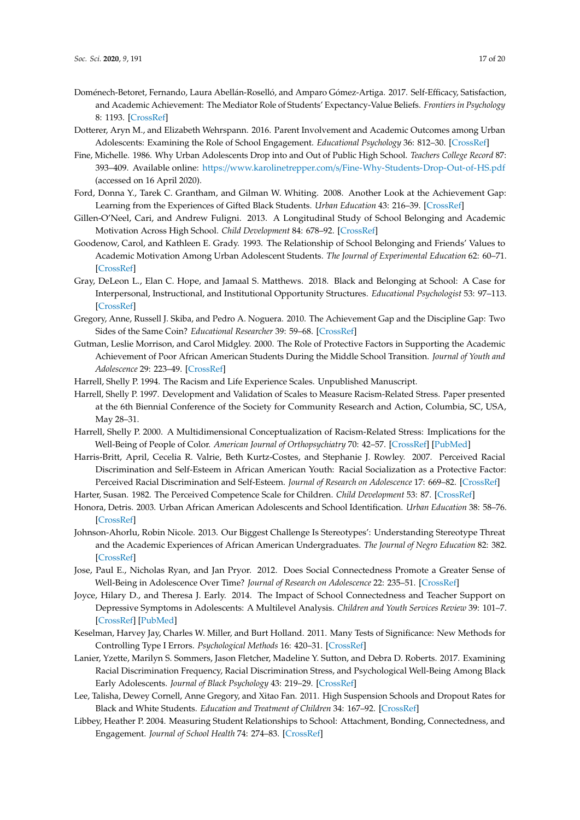- <span id="page-16-11"></span>Doménech-Betoret, Fernando, Laura Abellán-Roselló, and Amparo Gómez-Artiga. 2017. Self-Efficacy, Satisfaction, and Academic Achievement: The Mediator Role of Students' Expectancy-Value Beliefs. *Frontiers in Psychology* 8: 1193. [\[CrossRef\]](http://dx.doi.org/10.3389/fpsyg.2017.01193)
- <span id="page-16-12"></span>Dotterer, Aryn M., and Elizabeth Wehrspann. 2016. Parent Involvement and Academic Outcomes among Urban Adolescents: Examining the Role of School Engagement. *Educational Psychology* 36: 812–30. [\[CrossRef\]](http://dx.doi.org/10.1080/01443410.2015.1099617)
- <span id="page-16-21"></span>Fine, Michelle. 1986. Why Urban Adolescents Drop into and Out of Public High School. *Teachers College Record* 87: 393–409. Available online: https://www.karolinetrepper.com/s/[Fine-Why-Students-Drop-Out-of-HS.pdf](https://www.karolinetrepper.com/s/Fine-Why-Students-Drop-Out-of-HS.pdf) (accessed on 16 April 2020).
- <span id="page-16-0"></span>Ford, Donna Y., Tarek C. Grantham, and Gilman W. Whiting. 2008. Another Look at the Achievement Gap: Learning from the Experiences of Gifted Black Students. *Urban Education* 43: 216–39. [\[CrossRef\]](http://dx.doi.org/10.1177/0042085907312344)
- <span id="page-16-14"></span>Gillen-O'Neel, Cari, and Andrew Fuligni. 2013. A Longitudinal Study of School Belonging and Academic Motivation Across High School. *Child Development* 84: 678–92. [\[CrossRef\]](http://dx.doi.org/10.1111/j.1467-8624.2012.018)
- <span id="page-16-20"></span>Goodenow, Carol, and Kathleen E. Grady. 1993. The Relationship of School Belonging and Friends' Values to Academic Motivation Among Urban Adolescent Students. *The Journal of Experimental Education* 62: 60–71. [\[CrossRef\]](http://dx.doi.org/10.1080/00220973.1993.9943831)
- <span id="page-16-3"></span>Gray, DeLeon L., Elan C. Hope, and Jamaal S. Matthews. 2018. Black and Belonging at School: A Case for Interpersonal, Instructional, and Institutional Opportunity Structures. *Educational Psychologist* 53: 97–113. [\[CrossRef\]](http://dx.doi.org/10.1080/00461520.2017.1421466)
- <span id="page-16-1"></span>Gregory, Anne, Russell J. Skiba, and Pedro A. Noguera. 2010. The Achievement Gap and the Discipline Gap: Two Sides of the Same Coin? *Educational Researcher* 39: 59–68. [\[CrossRef\]](http://dx.doi.org/10.3102/0013189X09357621)
- <span id="page-16-13"></span>Gutman, Leslie Morrison, and Carol Midgley. 2000. The Role of Protective Factors in Supporting the Academic Achievement of Poor African American Students During the Middle School Transition. *Journal of Youth and Adolescence* 29: 223–49. [\[CrossRef\]](http://dx.doi.org/10.1023/A:1005108700243)
- <span id="page-16-18"></span><span id="page-16-17"></span>Harrell, Shelly P. 1994. The Racism and Life Experience Scales. Unpublished Manuscript.
- Harrell, Shelly P. 1997. Development and Validation of Scales to Measure Racism-Related Stress. Paper presented at the 6th Biennial Conference of the Society for Community Research and Action, Columbia, SC, USA, May 28–31.
- <span id="page-16-6"></span>Harrell, Shelly P. 2000. A Multidimensional Conceptualization of Racism-Related Stress: Implications for the Well-Being of People of Color. *American Journal of Orthopsychiatry* 70: 42–57. [\[CrossRef\]](http://dx.doi.org/10.1037/h0087722) [\[PubMed\]](http://www.ncbi.nlm.nih.gov/pubmed/10702849)
- <span id="page-16-15"></span>Harris-Britt, April, Cecelia R. Valrie, Beth Kurtz-Costes, and Stephanie J. Rowley. 2007. Perceived Racial Discrimination and Self-Esteem in African American Youth: Racial Socialization as a Protective Factor: Perceived Racial Discrimination and Self-Esteem. *Journal of Research on Adolescence* 17: 669–82. [\[CrossRef\]](http://dx.doi.org/10.1111/j.1532-7795.2007.00540.x)
- <span id="page-16-10"></span>Harter, Susan. 1982. The Perceived Competence Scale for Children. *Child Development* 53: 87. [\[CrossRef\]](http://dx.doi.org/10.2307/1129640)
- <span id="page-16-4"></span>Honora, Detris. 2003. Urban African American Adolescents and School Identification. *Urban Education* 38: 58–76. [\[CrossRef\]](http://dx.doi.org/10.1177/0042085902238686)
- <span id="page-16-7"></span>Johnson-Ahorlu, Robin Nicole. 2013. Our Biggest Challenge Is Stereotypes': Understanding Stereotype Threat and the Academic Experiences of African American Undergraduates. *The Journal of Negro Education* 82: 382. [\[CrossRef\]](http://dx.doi.org/10.7709/jnegroeducation.82.4.0382)
- <span id="page-16-16"></span>Jose, Paul E., Nicholas Ryan, and Jan Pryor. 2012. Does Social Connectedness Promote a Greater Sense of Well-Being in Adolescence Over Time? *Journal of Research on Adolescence* 22: 235–51. [\[CrossRef\]](http://dx.doi.org/10.1111/j.1532-7795.2012.00783.x)
- <span id="page-16-9"></span>Joyce, Hilary D., and Theresa J. Early. 2014. The Impact of School Connectedness and Teacher Support on Depressive Symptoms in Adolescents: A Multilevel Analysis. *Children and Youth Services Review* 39: 101–7. [\[CrossRef\]](http://dx.doi.org/10.1016/j.childyouth.2014.02.005) [\[PubMed\]](http://www.ncbi.nlm.nih.gov/pubmed/25132696)
- <span id="page-16-19"></span>Keselman, Harvey Jay, Charles W. Miller, and Burt Holland. 2011. Many Tests of Significance: New Methods for Controlling Type I Errors. *Psychological Methods* 16: 420–31. [\[CrossRef\]](http://dx.doi.org/10.1037/a0025810)
- <span id="page-16-5"></span>Lanier, Yzette, Marilyn S. Sommers, Jason Fletcher, Madeline Y. Sutton, and Debra D. Roberts. 2017. Examining Racial Discrimination Frequency, Racial Discrimination Stress, and Psychological Well-Being Among Black Early Adolescents. *Journal of Black Psychology* 43: 219–29. [\[CrossRef\]](http://dx.doi.org/10.1177/0095798416638189)
- <span id="page-16-2"></span>Lee, Talisha, Dewey Cornell, Anne Gregory, and Xitao Fan. 2011. High Suspension Schools and Dropout Rates for Black and White Students. *Education and Treatment of Children* 34: 167–92. [\[CrossRef\]](http://dx.doi.org/10.1353/etc.2011.0014)
- <span id="page-16-8"></span>Libbey, Heather P. 2004. Measuring Student Relationships to School: Attachment, Bonding, Connectedness, and Engagement. *Journal of School Health* 74: 274–83. [\[CrossRef\]](http://dx.doi.org/10.1111/j.1746-1561.2004.tb08284.x)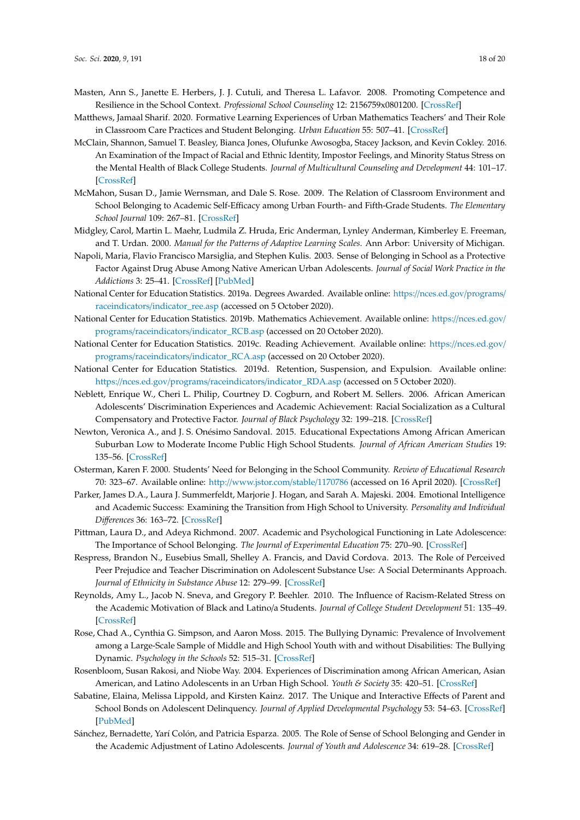- <span id="page-17-7"></span>Masten, Ann S., Janette E. Herbers, J. J. Cutuli, and Theresa L. Lafavor. 2008. Promoting Competence and Resilience in the School Context. *Professional School Counseling* 12: 2156759x0801200. [\[CrossRef\]](http://dx.doi.org/10.5330/PSC.n.2010-12.76)
- <span id="page-17-18"></span>Matthews, Jamaal Sharif. 2020. Formative Learning Experiences of Urban Mathematics Teachers' and Their Role in Classroom Care Practices and Student Belonging. *Urban Education* 55: 507–41. [\[CrossRef\]](http://dx.doi.org/10.1177/0042085919842625)
- <span id="page-17-6"></span>McClain, Shannon, Samuel T. Beasley, Bianca Jones, Olufunke Awosogba, Stacey Jackson, and Kevin Cokley. 2016. An Examination of the Impact of Racial and Ethnic Identity, Impostor Feelings, and Minority Status Stress on the Mental Health of Black College Students. *Journal of Multicultural Counseling and Development* 44: 101–17. [\[CrossRef\]](http://dx.doi.org/10.1002/jmcd.12040)
- <span id="page-17-13"></span>McMahon, Susan D., Jamie Wernsman, and Dale S. Rose. 2009. The Relation of Classroom Environment and School Belonging to Academic Self-Efficacy among Urban Fourth- and Fifth-Grade Students. *The Elementary School Journal* 109: 267–81. [\[CrossRef\]](http://dx.doi.org/10.1086/592307)
- <span id="page-17-10"></span>Midgley, Carol, Martin L. Maehr, Ludmila Z. Hruda, Eric Anderman, Lynley Anderman, Kimberley E. Freeman, and T. Urdan. 2000. *Manual for the Patterns of Adaptive Learning Scales*. Ann Arbor: University of Michigan.
- <span id="page-17-14"></span>Napoli, Maria, Flavio Francisco Marsiglia, and Stephen Kulis. 2003. Sense of Belonging in School as a Protective Factor Against Drug Abuse Among Native American Urban Adolescents. *Journal of Social Work Practice in the Addictions* 3: 25–41. [\[CrossRef\]](http://dx.doi.org/10.1300/J160v03n02_03) [\[PubMed\]](http://www.ncbi.nlm.nih.gov/pubmed/21359140)
- <span id="page-17-19"></span>National Center for Education Statistics. 2019a. Degrees Awarded. Available online: https://[nces.ed.gov](https://nces.ed.gov/programs/raceindicators/indicator_ree.asp)/programs/ raceindicators/[indicator\\_ree.asp](https://nces.ed.gov/programs/raceindicators/indicator_ree.asp) (accessed on 5 October 2020).
- <span id="page-17-0"></span>National Center for Education Statistics. 2019b. Mathematics Achievement. Available online: https://[nces.ed.gov](https://nces.ed.gov/programs/raceindicators/indicator_RCB.asp)/ programs/raceindicators/[indicator\\_RCB.asp](https://nces.ed.gov/programs/raceindicators/indicator_RCB.asp) (accessed on 20 October 2020).
- <span id="page-17-1"></span>National Center for Education Statistics. 2019c. Reading Achievement. Available online: https://[nces.ed.gov](https://nces.ed.gov/programs/raceindicators/indicator_RCA.asp)/ programs/raceindicators/[indicator\\_RCA.asp](https://nces.ed.gov/programs/raceindicators/indicator_RCA.asp) (accessed on 20 October 2020).
- <span id="page-17-20"></span>National Center for Education Statistics. 2019d. Retention, Suspension, and Expulsion. Available online: https://nces.ed.gov/programs/raceindicators/[indicator\\_RDA.asp](https://nces.ed.gov/programs/raceindicators/indicator_RDA.asp) (accessed on 5 October 2020).
- <span id="page-17-3"></span>Neblett, Enrique W., Cheri L. Philip, Courtney D. Cogburn, and Robert M. Sellers. 2006. African American Adolescents' Discrimination Experiences and Academic Achievement: Racial Socialization as a Cultural Compensatory and Protective Factor. *Journal of Black Psychology* 32: 199–218. [\[CrossRef\]](http://dx.doi.org/10.1177/0095798406287072)
- <span id="page-17-11"></span>Newton, Veronica A., and J. S. Onésimo Sandoval. 2015. Educational Expectations Among African American Suburban Low to Moderate Income Public High School Students. *Journal of African American Studies* 19: 135–56. [\[CrossRef\]](http://dx.doi.org/10.1007/s12111-015-9296-y)
- <span id="page-17-9"></span>Osterman, Karen F. 2000. Students' Need for Belonging in the School Community. *Review of Educational Research* 70: 323–67. Available online: http://[www.jstor.com](http://www.jstor.com/stable/1170786)/stable/1170786 (accessed on 16 April 2020). [\[CrossRef\]](http://dx.doi.org/10.3102/00346543070003323)
- <span id="page-17-12"></span>Parker, James D.A., Laura J. Summerfeldt, Marjorie J. Hogan, and Sarah A. Majeski. 2004. Emotional Intelligence and Academic Success: Examining the Transition from High School to University. *Personality and Individual Di*ff*erences* 36: 163–72. [\[CrossRef\]](http://dx.doi.org/10.1016/S0191-8869(03)00076-X)
- <span id="page-17-16"></span>Pittman, Laura D., and Adeya Richmond. 2007. Academic and Psychological Functioning in Late Adolescence: The Importance of School Belonging. *The Journal of Experimental Education* 75: 270–90. [\[CrossRef\]](http://dx.doi.org/10.3200/JEXE.75.4.270-292)
- <span id="page-17-4"></span>Respress, Brandon N., Eusebius Small, Shelley A. Francis, and David Cordova. 2013. The Role of Perceived Peer Prejudice and Teacher Discrimination on Adolescent Substance Use: A Social Determinants Approach. *Journal of Ethnicity in Substance Abuse* 12: 279–99. [\[CrossRef\]](http://dx.doi.org/10.1080/15332640.2013.836728)
- <span id="page-17-5"></span>Reynolds, Amy L., Jacob N. Sneva, and Gregory P. Beehler. 2010. The Influence of Racism-Related Stress on the Academic Motivation of Black and Latino/a Students. *Journal of College Student Development* 51: 135–49. [\[CrossRef\]](http://dx.doi.org/10.1353/csd.0.0120)
- <span id="page-17-15"></span>Rose, Chad A., Cynthia G. Simpson, and Aaron Moss. 2015. The Bullying Dynamic: Prevalence of Involvement among a Large-Scale Sample of Middle and High School Youth with and without Disabilities: The Bullying Dynamic. *Psychology in the Schools* 52: 515–31. [\[CrossRef\]](http://dx.doi.org/10.1002/pits.21840)
- <span id="page-17-2"></span>Rosenbloom, Susan Rakosi, and Niobe Way. 2004. Experiences of Discrimination among African American, Asian American, and Latino Adolescents in an Urban High School. *Youth & Society* 35: 420–51. [\[CrossRef\]](http://dx.doi.org/10.1177/0044118x03261479)
- <span id="page-17-8"></span>Sabatine, Elaina, Melissa Lippold, and Kirsten Kainz. 2017. The Unique and Interactive Effects of Parent and School Bonds on Adolescent Delinquency. *Journal of Applied Developmental Psychology* 53: 54–63. [\[CrossRef\]](http://dx.doi.org/10.1016/j.appdev.2017.09.005) [\[PubMed\]](http://www.ncbi.nlm.nih.gov/pubmed/29332981)
- <span id="page-17-17"></span>Sánchez, Bernadette, Yarí Colón, and Patricia Esparza. 2005. The Role of Sense of School Belonging and Gender in the Academic Adjustment of Latino Adolescents. *Journal of Youth and Adolescence* 34: 619–28. [\[CrossRef\]](http://dx.doi.org/10.1007/s10964-005-8950-4)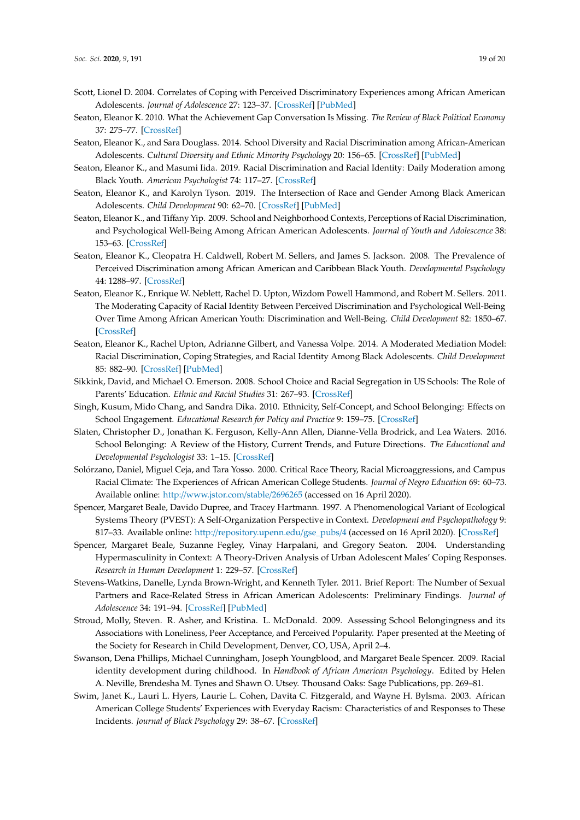- <span id="page-18-7"></span>Scott, Lionel D. 2004. Correlates of Coping with Perceived Discriminatory Experiences among African American Adolescents. *Journal of Adolescence* 27: 123–37. [\[CrossRef\]](http://dx.doi.org/10.1016/j.adolescence.2003.11.005) [\[PubMed\]](http://www.ncbi.nlm.nih.gov/pubmed/15023512)
- <span id="page-18-5"></span>Seaton, Eleanor K. 2010. What the Achievement Gap Conversation Is Missing. *The Review of Black Political Economy* 37: 275–77. [\[CrossRef\]](http://dx.doi.org/10.1007/s12114-010-9072-0)
- <span id="page-18-12"></span>Seaton, Eleanor K., and Sara Douglass. 2014. School Diversity and Racial Discrimination among African-American Adolescents. *Cultural Diversity and Ethnic Minority Psychology* 20: 156–65. [\[CrossRef\]](http://dx.doi.org/10.1037/a0035322) [\[PubMed\]](http://www.ncbi.nlm.nih.gov/pubmed/24773002)
- <span id="page-18-14"></span>Seaton, Eleanor K., and Masumi Iida. 2019. Racial Discrimination and Racial Identity: Daily Moderation among Black Youth. *American Psychologist* 74: 117–27. [\[CrossRef\]](http://dx.doi.org/10.1037/amp0000367)
- <span id="page-18-15"></span>Seaton, Eleanor K., and Karolyn Tyson. 2019. The Intersection of Race and Gender Among Black American Adolescents. *Child Development* 90: 62–70. [\[CrossRef\]](http://dx.doi.org/10.1111/cdev.13093) [\[PubMed\]](http://www.ncbi.nlm.nih.gov/pubmed/29777539)
- <span id="page-18-6"></span>Seaton, Eleanor K., and Tiffany Yip. 2009. School and Neighborhood Contexts, Perceptions of Racial Discrimination, and Psychological Well-Being Among African American Adolescents. *Journal of Youth and Adolescence* 38: 153–63. [\[CrossRef\]](http://dx.doi.org/10.1007/s10964-008-9356-x)
- <span id="page-18-1"></span>Seaton, Eleanor K., Cleopatra H. Caldwell, Robert M. Sellers, and James S. Jackson. 2008. The Prevalence of Perceived Discrimination among African American and Caribbean Black Youth. *Developmental Psychology* 44: 1288–97. [\[CrossRef\]](http://dx.doi.org/10.1037/a0012747)
- <span id="page-18-0"></span>Seaton, Eleanor K., Enrique W. Neblett, Rachel D. Upton, Wizdom Powell Hammond, and Robert M. Sellers. 2011. The Moderating Capacity of Racial Identity Between Perceived Discrimination and Psychological Well-Being Over Time Among African American Youth: Discrimination and Well-Being. *Child Development* 82: 1850–67. [\[CrossRef\]](http://dx.doi.org/10.1111/j.1467-8624.2011.01651.x)
- <span id="page-18-13"></span>Seaton, Eleanor K., Rachel Upton, Adrianne Gilbert, and Vanessa Volpe. 2014. A Moderated Mediation Model: Racial Discrimination, Coping Strategies, and Racial Identity Among Black Adolescents. *Child Development* 85: 882–90. [\[CrossRef\]](http://dx.doi.org/10.1111/cdev.12122) [\[PubMed\]](http://www.ncbi.nlm.nih.gov/pubmed/23668685)
- <span id="page-18-17"></span>Sikkink, David, and Michael O. Emerson. 2008. School Choice and Racial Segregation in US Schools: The Role of Parents' Education. *Ethnic and Racial Studies* 31: 267–93. [\[CrossRef\]](http://dx.doi.org/10.1080/01419870701337650)
- <span id="page-18-18"></span>Singh, Kusum, Mido Chang, and Sandra Dika. 2010. Ethnicity, Self-Concept, and School Belonging: Effects on School Engagement. *Educational Research for Policy and Practice* 9: 159–75. [\[CrossRef\]](http://dx.doi.org/10.1007/s10671-010-9087-0)
- <span id="page-18-11"></span>Slaten, Christopher D., Jonathan K. Ferguson, Kelly-Ann Allen, Dianne-Vella Brodrick, and Lea Waters. 2016. School Belonging: A Review of the History, Current Trends, and Future Directions. *The Educational and Developmental Psychologist* 33: 1–15. [\[CrossRef\]](http://dx.doi.org/10.1017/edp.2016.6)
- <span id="page-18-10"></span>Solórzano, Daniel, Miguel Ceja, and Tara Yosso. 2000. Critical Race Theory, Racial Microaggressions, and Campus Racial Climate: The Experiences of African American College Students. *Journal of Negro Education* 69: 60–73. Available online: http://[www.jstor.com](http://www.jstor.com/stable/2696265)/stable/2696265 (accessed on 16 April 2020).
- <span id="page-18-2"></span>Spencer, Margaret Beale, Davido Dupree, and Tracey Hartmann. 1997. A Phenomenological Variant of Ecological Systems Theory (PVEST): A Self-Organization Perspective in Context. *Development and Psychopathology* 9: 817–33. Available online: http://[repository.upenn.edu](http://repository.upenn.edu/gse_pubs/4)/gse\_pubs/4 (accessed on 16 April 2020). [\[CrossRef\]](http://dx.doi.org/10.1017/S0954579497001454)
- <span id="page-18-3"></span>Spencer, Margaret Beale, Suzanne Fegley, Vinay Harpalani, and Gregory Seaton. 2004. Understanding Hypermasculinity in Context: A Theory-Driven Analysis of Urban Adolescent Males' Coping Responses. *Research in Human Development* 1: 229–57. [\[CrossRef\]](http://dx.doi.org/10.1207/s15427617rhd0104_2)
- <span id="page-18-8"></span>Stevens-Watkins, Danelle, Lynda Brown-Wright, and Kenneth Tyler. 2011. Brief Report: The Number of Sexual Partners and Race-Related Stress in African American Adolescents: Preliminary Findings. *Journal of Adolescence* 34: 191–94. [\[CrossRef\]](http://dx.doi.org/10.1016/j.adolescence.2010.02.003) [\[PubMed\]](http://www.ncbi.nlm.nih.gov/pubmed/20303161)
- <span id="page-18-16"></span>Stroud, Molly, Steven. R. Asher, and Kristina. L. McDonald. 2009. Assessing School Belongingness and its Associations with Loneliness, Peer Acceptance, and Perceived Popularity. Paper presented at the Meeting of the Society for Research in Child Development, Denver, CO, USA, April 2–4.
- <span id="page-18-4"></span>Swanson, Dena Phillips, Michael Cunningham, Joseph Youngblood, and Margaret Beale Spencer. 2009. Racial identity development during childhood. In *Handbook of African American Psychology*. Edited by Helen A. Neville, Brendesha M. Tynes and Shawn O. Utsey. Thousand Oaks: Sage Publications, pp. 269–81.
- <span id="page-18-9"></span>Swim, Janet K., Lauri L. Hyers, Laurie L. Cohen, Davita C. Fitzgerald, and Wayne H. Bylsma. 2003. African American College Students' Experiences with Everyday Racism: Characteristics of and Responses to These Incidents. *Journal of Black Psychology* 29: 38–67. [\[CrossRef\]](http://dx.doi.org/10.1177/0095798402239228)